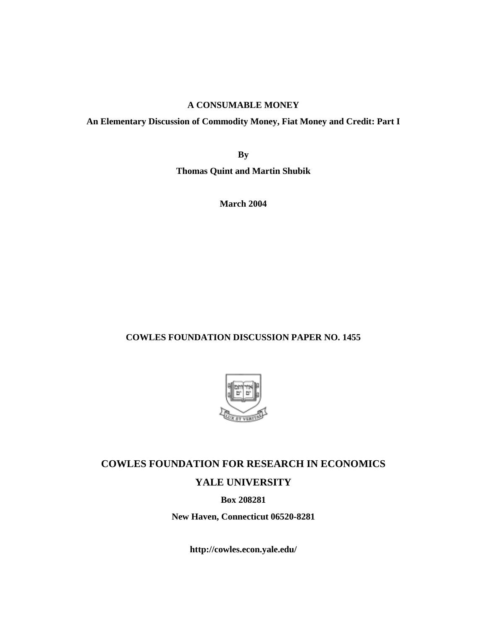# **A CONSUMABLE MONEY**

# **An Elementary Discussion of Commodity Money, Fiat Money and Credit: Part I**

**By** 

**Thomas Quint and Martin Shubik** 

**March 2004** 

# **COWLES FOUNDATION DISCUSSION PAPER NO. 1455**



# **COWLES FOUNDATION FOR RESEARCH IN ECONOMICS YALE UNIVERSITY**

**Box 208281** 

**New Haven, Connecticut 06520-8281** 

**http://cowles.econ.yale.edu/**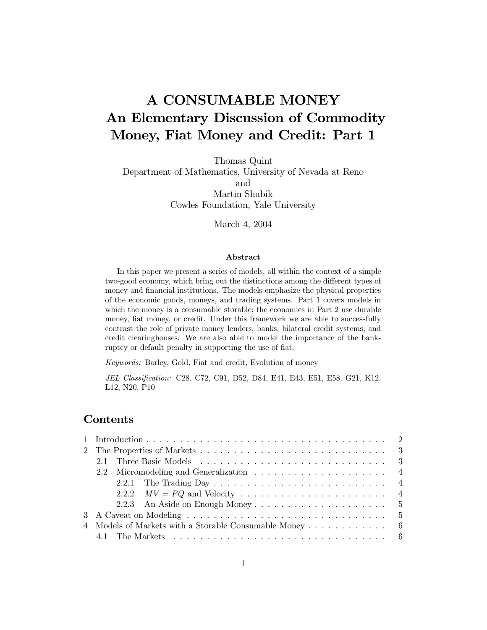# A CONSUMABLE MONEY An Elementary Discussion of Commodity Money, Fiat Money and Credit: Part 1

Thomas Quint

Department of Mathematics, University of Nevada at Reno and Martin Shubik Cowles Foundation, Yale University

March 4, 2004

# Abstract

In this paper we present a series of models, all within the context of a simple two-good economy, which bring out the distinctions among the different types of money and financial institutions. The models emphasize the physical properties of the economic goods, moneys, and trading systems. Part 1 covers models in which the money is a consumable storable; the economies in Part 2 use durable money, fiat money, or credit. Under this framework we are able to successfully contrast the role of private money lenders, banks, bilateral credit systems, and credit clearing houses. We are also able to model the importance of the bankruptcy or default penalty in supporting the use of fiat.

Keywords: Barley, Gold, Fiat and credit, Evolution of money

JEL Classification: C28, C72, C91, D52, D84, E41, E43, E51, E58, G21, K12, L12, N20, P10

# Contents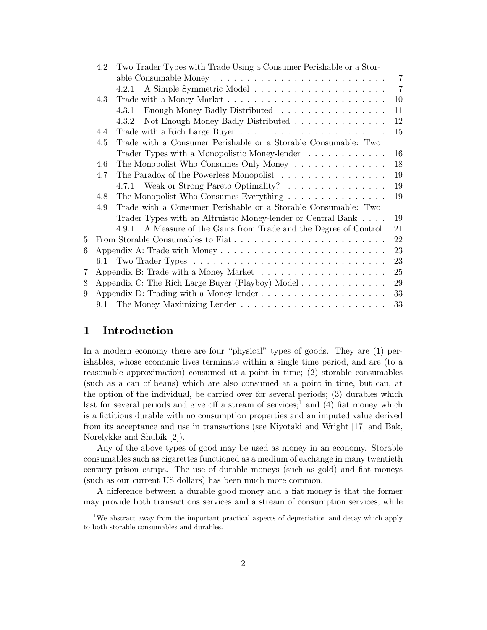|   | Two Trader Types with Trade Using a Consumer Perishable or a Stor-<br>4.2 |                                                                                     |                |  |  |  |  |  |
|---|---------------------------------------------------------------------------|-------------------------------------------------------------------------------------|----------------|--|--|--|--|--|
|   |                                                                           |                                                                                     | $\overline{7}$ |  |  |  |  |  |
|   |                                                                           | 4.2.1                                                                               | $\overline{7}$ |  |  |  |  |  |
|   | 4.3                                                                       |                                                                                     |                |  |  |  |  |  |
|   |                                                                           | Enough Money Badly Distributed<br>4.3.1                                             | 11             |  |  |  |  |  |
|   |                                                                           | Not Enough Money Badly Distributed<br>4.3.2                                         | 12             |  |  |  |  |  |
|   | 4.4                                                                       |                                                                                     | 15             |  |  |  |  |  |
|   | 4.5                                                                       | Trade with a Consumer Perishable or a Storable Consumable: Two                      |                |  |  |  |  |  |
|   |                                                                           | Trader Types with a Monopolistic Money-lender                                       | 16             |  |  |  |  |  |
|   | 4.6                                                                       | The Monopolist Who Consumes Only Money                                              | 18             |  |  |  |  |  |
|   | 4.7                                                                       | The Paradox of the Powerless Monopolist                                             | 19             |  |  |  |  |  |
|   |                                                                           | 4.7.1 Weak or Strong Pareto Optimality?                                             | 19             |  |  |  |  |  |
|   | 4.8                                                                       | The Monopolist Who Consumes Everything $\dots \dots \dots \dots \dots$              | 19             |  |  |  |  |  |
|   | 4.9                                                                       | Trade with a Consumer Perishable or a Storable Consumable: Two                      |                |  |  |  |  |  |
|   |                                                                           | Trader Types with an Altruistic Money-lender or Central Bank                        | 19             |  |  |  |  |  |
|   |                                                                           | A Measure of the Gains from Trade and the Degree of Control<br>4.9.1                | 21             |  |  |  |  |  |
| 5 |                                                                           | From Storable Consumables to Fiat                                                   | 22             |  |  |  |  |  |
| 6 |                                                                           |                                                                                     | 23             |  |  |  |  |  |
|   |                                                                           |                                                                                     | 23             |  |  |  |  |  |
| 7 |                                                                           |                                                                                     | 25             |  |  |  |  |  |
| 8 |                                                                           | Appendix C: The Rich Large Buyer (Playboy) Model                                    | 29             |  |  |  |  |  |
| 9 |                                                                           | Appendix D: Trading with a Money-lender $\dots \dots \dots \dots \dots \dots \dots$ | 33             |  |  |  |  |  |
|   |                                                                           |                                                                                     | 33             |  |  |  |  |  |

### $\mathbf 1$ Introduction

In a modern economy there are four "physical" types of goods. They are (1) perishables, whose economic lives terminate within a single time period, and are (to a reasonable approximation) consumed at a point in time; (2) storable consumables (such as a can of beans) which are also consumed at a point in time, but can, at the option of the individual, be carried over for several periods; (3) durables which last for several periods and give off a stream of services;<sup>1</sup> and (4) fiat money which is a fictitious durable with no consumption properties and an imputed value derived from its acceptance and use in transactions (see Kiyotaki and Wright [17] and Bak, Norelykke and Shubik [2]).

Any of the above types of good may be used as money in an economy. Storable consumables such as cigarettes functioned as a medium of exchange in many twentieth century prison camps. The use of durable moneys (such as gold) and fiat moneys (such as our current US dollars) has been much more common.

A difference between a durable good money and a fiat money is that the former may provide both transactions services and a stream of consumption services, while

We abstract away from the important practical aspects of depreciation and decay which apply to both storable consumables and durables.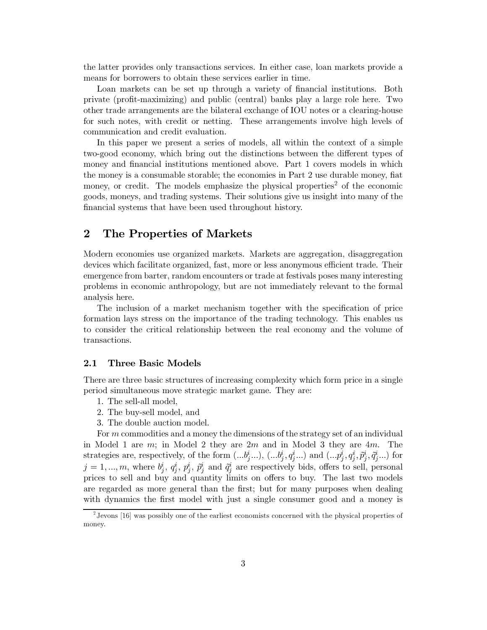the latter provides only transactions services. In either case, loan markets provide a means for borrowers to obtain these services earlier in time.

Loan markets can be set up through a variety of financial institutions. Both private (profit-maximizing) and public (central) banks play a large role here. Two other trade arrangements are the bilateral exchange of IOU notes or a clearing-house for such notes, with credit or netting. These arrangements involve high levels of communication and credit evaluation.

In this paper we present a series of models, all within the context of a simple two-good economy, which bring out the distinctions between the different types of money and financial institutions mentioned above. Part 1 covers models in which the money is a consumable storable; the economies in Part 2 use durable money, fiat money, or credit. The models emphasize the physical properties<sup>2</sup> of the economic goods, moneys, and trading systems. Their solutions give us insight into many of the financial systems that have been used throughout history.

### The Properties of Markets  $\bf{2}$

Modern economies use organized markets. Markets are aggregation, disaggregation devices which facilitate organized, fast, more or less anonymous efficient trade. Their emergence from barter, random encounters or trade at festivals poses many interesting problems in economic anthropology, but are not immediately relevant to the formal analysis here.

The inclusion of a market mechanism together with the specification of price formation lays stress on the importance of the trading technology. This enables us to consider the critical relationship between the real economy and the volume of transactions.

#### 2.1 **Three Basic Models**

There are three basic structures of increasing complexity which form price in a single period simultaneous move strategic market game. They are:

- 1. The sell-all model,
- 2. The buy-sell model, and
- 3. The double auction model.

For m commodities and a money the dimensions of the strategy set of an individual in Model 1 are  $m$ ; in Model 2 they are  $2m$  and in Model 3 they are  $4m$ . The strategies are, respectively, of the form  $(...b_j^i...),$   $(...b_j^i,q_j^i...)$  and  $(...p_j^i,q_j^i,\tilde{p}_j^i,\tilde{q}_j^i...)$  for  $j=1,...,m$ , where  $b_i^i, q_i^i, p_i^i, \tilde{p}_i^i$  and  $\tilde{q}_i^i$  are respectively bids, offers to sell, personal prices to sell and buy and quantity limits on offers to buy. The last two models are regarded as more general than the first; but for many purposes when dealing with dynamics the first model with just a single consumer good and a money is

 $\frac{1}{2}$  Jevons [16] was possibly one of the earliest economists concerned with the physical properties of money.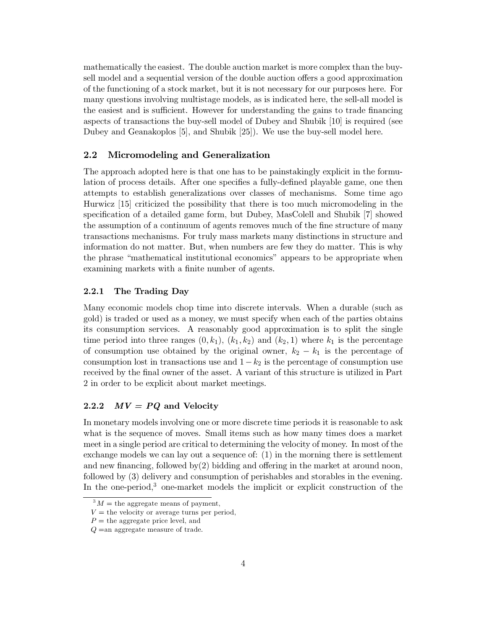mathematically the easiest. The double auction market is more complex than the buysell model and a sequential version of the double auction offers a good approximation of the functioning of a stock market, but it is not necessary for our purposes here. For many questions involving multistage models, as is indicated here, the sell-all model is the easiest and is sufficient. However for understanding the gains to trade financing aspects of transactions the buy-sell model of Dubey and Shubik [10] is required (see Dubey and Geanakoplos [5], and Shubik [25]). We use the buy-sell model here.

#### $2.2$ Micromodeling and Generalization

The approach adopted here is that one has to be painstakingly explicit in the formulation of process details. After one specifies a fully-defined playable game, one then attempts to establish generalizations over classes of mechanisms. Some time ago Hurwicz [15] criticized the possibility that there is too much micromodeling in the specification of a detailed game form, but Dubey, MasColell and Shubik [7] showed the assumption of a continuum of agents removes much of the fine structure of many transactions mechanisms. For truly mass markets many distinctions in structure and information do not matter. But, when numbers are few they do matter. This is why the phrase "mathematical institutional economics" appears to be appropriate when examining markets with a finite number of agents.

#### 2.2.1 The Trading Day

Many economic models chop time into discrete intervals. When a durable (such as gold) is traded or used as a money, we must specify when each of the parties obtains its consumption services. A reasonably good approximation is to split the single time period into three ranges  $(0, k_1)$ ,  $(k_1, k_2)$  and  $(k_2, 1)$  where  $k_1$  is the percentage of consumption use obtained by the original owner,  $k_2 - k_1$  is the percentage of consumption lost in transactions use and  $1-k_2$  is the percentage of consumption use received by the final owner of the asset. A variant of this structure is utilized in Part 2 in order to be explicit about market meetings.

#### $MV = PQ$  and Velocity 2.2.2

In monetary models involving one or more discrete time periods it is reasonable to ask what is the sequence of moves. Small items such as how many times does a market meet in a single period are critical to determining the velocity of money. In most of the exchange models we can lay out a sequence of:  $(1)$  in the morning there is settlement and new financing, followed  $bv(2)$  bidding and offering in the market at around noon, followed by (3) delivery and consumption of perishables and storables in the evening. In the one-period.<sup>3</sup> one-market models the implicit or explicit construction of the

 $^{3}M =$  the aggregate means of payment,

 $V =$  the velocity or average turns per period,

 $P =$  the aggregate price level, and

 $Q =$ an aggregate measure of trade.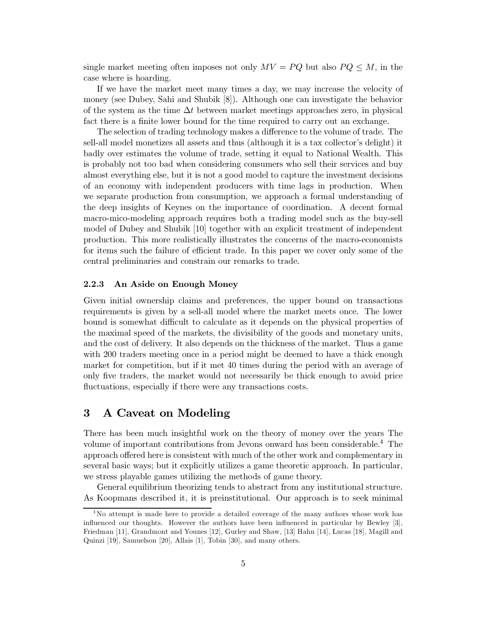single market meeting often imposes not only  $MV = PQ$  but also  $PQ \leq M$ , in the case where is hoarding.

If we have the market meet many times a day, we may increase the velocity of money (see Dubey, Sahi and Shubik [8]). Although one can investigate the behavior of the system as the time  $\Delta t$  between market meetings approaches zero, in physical fact there is a finite lower bound for the time required to carry out an exchange.

The selection of trading technology makes a difference to the volume of trade. The sell-all model monetizes all assets and thus (although it is a tax collector's delight) it badly over estimates the volume of trade, setting it equal to National Wealth. This is probably not too bad when considering consumers who sell their services and buy almost everything else, but it is not a good model to capture the investment decisions of an economy with independent producers with time lags in production. When we separate production from consumption, we approach a formal understanding of the deep insights of Keynes on the importance of coordination. A decent formal macro-mico-modeling approach requires both a trading model such as the buy-sell model of Dubey and Shubik [10] together with an explicit treatment of independent production. This more realistically illustrates the concerns of the macro-economists for items such the failure of efficient trade. In this paper we cover only some of the central preliminaries and constrain our remarks to trade.

#### An Aside on Enough Money 2.2.3

Given initial ownership claims and preferences, the upper bound on transactions requirements is given by a sell-all model where the market meets once. The lower bound is somewhat difficult to calculate as it depends on the physical properties of the maximal speed of the markets, the divisibility of the goods and monetary units, and the cost of delivery. It also depends on the thickness of the market. Thus a game with 200 traders meeting once in a period might be deemed to have a thick enough market for competition, but if it met 40 times during the period with an average of only five traders, the market would not necessarily be thick enough to avoid price fluctuations, especially if there were any transactions costs.

### 3 A Caveat on Modeling

There has been much insightful work on the theory of money over the years The volume of important contributions from Jevons onward has been considerable.<sup>4</sup> The approach offered here is consistent with much of the other work and complementary in several basic ways; but it explicitly utilizes a game theoretic approach. In particular, we stress playable games utilizing the methods of game theory.

General equilibrium theorizing tends to abstract from any institutional structure. As Koopmans described it, it is preinstitutional. Our approach is to seek minimal

<sup>&</sup>lt;sup>4</sup>No attempt is made here to provide a detailed coverage of the many authors whose work has influenced our thoughts. However the authors have been influenced in particular by Bewley [3]. Friedman [11], Grandmont and Younes [12], Gurley and Shaw, [13] Hahn [14], Lucas [18], Magill and Quinzi [19], Samuelson [20], Allais [1], Tobin [30], and many others.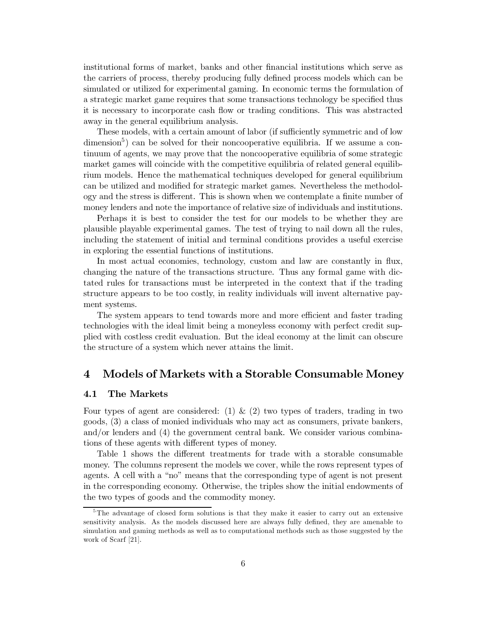institutional forms of market, banks and other financial institutions which serve as the carriers of process, thereby producing fully defined process models which can be simulated or utilized for experimental gaming. In economic terms the formulation of a strategic market game requires that some transactions technology be specified thus it is necessary to incorporate cash flow or trading conditions. This was abstracted away in the general equilibrium analysis.

These models, with a certain amount of labor (if sufficiently symmetric and of low  $\alpha$  dimension<sup>3</sup>) can be solved for their noncooperative equilibria. If we assume a continuum of agents, we may prove that the noncooperative equilibria of some strategic market games will coincide with the competitive equilibria of related general equilibrium models. Hence the mathematical techniques developed for general equilibrium can be utilized and modified for strategic market games. Nevertheless the methodology and the stress is different. This is shown when we contemplate a finite number of money lenders and note the importance of relative size of individuals and institutions.

Perhaps it is best to consider the test for our models to be whether they are plausible playable experimental games. The test of trying to nail down all the rules. including the statement of initial and terminal conditions provides a useful exercise in exploring the essential functions of institutions.

In most actual economies, technology, custom and law are constantly in flux, changing the nature of the transactions structure. Thus any formal game with dictated rules for transactions must be interpreted in the context that if the trading structure appears to be too costly, in reality individuals will invent alternative payment systems.

The system appears to tend towards more and more efficient and faster trading technologies with the ideal limit being a moneyless economy with perfect credit supplied with costless credit evaluation. But the ideal economy at the limit can obscure the structure of a system which never attains the limit.

### Models of Markets with a Storable Consumable Money  $\boldsymbol{4}$

#### The Markets 4.1

Four types of agent are considered: (1) & (2) two types of traders, trading in two goods, (3) a class of monied individuals who may act as consumers, private bankers,  $\alpha$  and/or lenders and (4) the government central bank. We consider various combinations of these agents with different types of money.

Table 1 shows the different treatments for trade with a storable consumable money. The columns represent the models we cover, while the rows represent types of agents. A cell with a "no" means that the corresponding type of agent is not present in the corresponding economy. Otherwise, the triples show the initial endowments of the two types of goods and the commodity money.

<sup>&</sup>lt;sup>5</sup>The advantage of closed form solutions is that they make it easier to carry out an extensive sensitivity analysis. As the models discussed here are always fully defined, they are amenable to simulation and gaming methods as well as to computational methods such as those suggested by the work of Scarf [21].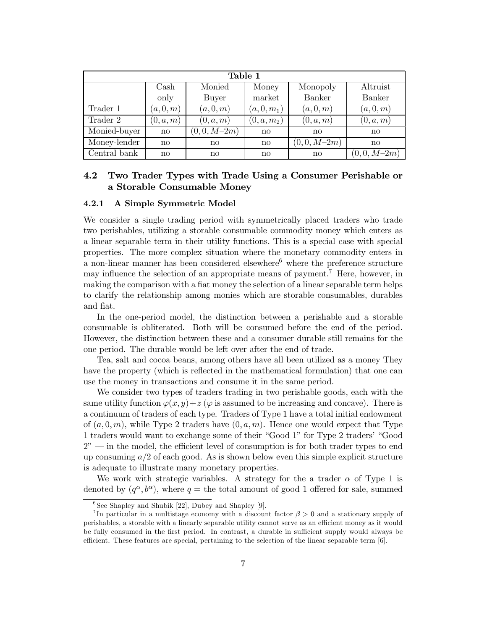| Table 1      |                        |              |               |              |               |  |  |  |
|--------------|------------------------|--------------|---------------|--------------|---------------|--|--|--|
|              | Cash                   | Monied       | Money         | Monopoly     | Altruist      |  |  |  |
|              | only                   | Buyer        | market        | Banker       | <b>Banker</b> |  |  |  |
| Trader 1     | (a,0,m)                | (a,0,m)      | $(a, 0, m_1)$ | (a,0,m)      | (a,0,m)       |  |  |  |
| Trader 2     | (0, a, m)              | (0, a, m)    | $(0, a, m_2)$ | (0, a, m)    | (0,a,m)       |  |  |  |
| Monied-buyer | $\mathbf{n}$           | $(0,0,M-2m)$ | $\mathbf{n}$  | $\mathbf{n}$ | $\mathbf{n}$  |  |  |  |
| Money-lender | $\mathbf{n}$           | $\mathbf{n}$ | $\mathbf{n}$  | $(0,0,M-2m)$ | $\mathbf{n}$  |  |  |  |
| Central bank | $\mathbf{n}\mathbf{o}$ | $\mathbf{n}$ | $\mathbf{n}$  | $\mathbf{n}$ | $(0,0,M-2m)$  |  |  |  |

### 4.2 Two Trader Types with Trade Using a Consumer Perishable or a Storable Consumable Money

#### 4.2.1 A Simple Symmetric Model

We consider a single trading period with symmetrically placed traders who trade two perishables, utilizing a storable consumable commodity money which enters as a linear separable term in their utility functions. This is a special case with special properties. The more complex situation where the monetary commodity enters in a non-linear manner has been considered elsewhere<sup>6</sup> where the preference structure may influence the selection of an appropriate means of payment.<sup>7</sup> Here, however, in making the comparison with a fiat money the selection of a linear separable term helps to clarify the relationship among monies which are storable consumables, durables and fiat.

In the one-period model, the distinction between a perishable and a storable consumable is obliterated. Both will be consumed before the end of the period. However, the distinction between these and a consumer durable still remains for the one period. The durable would be left over after the end of trade.

Tea, salt and cocoa beans, among others have all been utilized as a money They have the property (which is reflected in the mathematical formulation) that one can use the money in transactions and consume it in the same period.

We consider two types of traders trading in two perishable goods, each with the same utility function  $\varphi(x, y) + z$  ( $\varphi$  is assumed to be increasing and concave). There is a continuum of traders of each type. Traders of Type 1 have a total initial endowment of  $(a,0,m)$ , while Type 2 traders have  $(0,a,m)$ . Hence one would expect that Type 1 traders would want to exchange some of their "Good 1" for Type 2 traders' "Good  $2<sup>n</sup>$  — in the model, the efficient level of consumption is for both trader types to end up consuming  $a/2$  of each good. As is shown below even this simple explicit structure is adequate to illustrate many monetary properties.

We work with strategic variables. A strategy for the a trader  $\alpha$  of Type 1 is denoted by  $(q^{\alpha},b^{\alpha})$ , where  $q =$  the total amount of good 1 offered for sale, summed

 $6$ See Shapley and Shubik [22], Dubey and Shapley [9].

In particular in a multistage economy with a discount factor  $\beta > 0$  and a stationary supply of perishables, a storable with a linearly separable utility cannot serve as an efficient money as it would be fully consumed in the first period. In contrast, a durable in sufficient supply would always be efficient. These features are special, pertaining to the selection of the linear separable term  $[6]$ .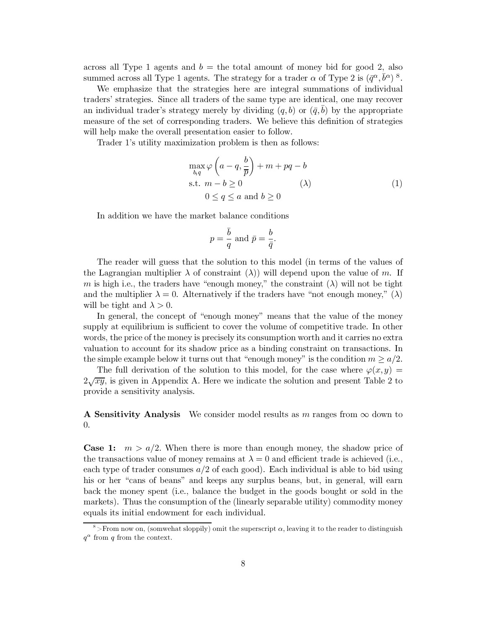across all Type 1 agents and  $b =$  the total amount of money bid for good 2, also summed across all Type 1 agents. The strategy for a trader  $\alpha$  of Type 2 is  $(\bar{q}^{\alpha}, \bar{b}^{\alpha})$  8.

We emphasize that the strategies here are integral summations of individual traders' strategies. Since all traders of the same type are identical, one may recover an individual trader's strategy merely by dividing  $(q, b)$  or  $(\bar{q}, b)$  by the appropriate measure of the set of corresponding traders. We believe this definition of strategies will help make the overall presentation easier to follow.

Trader 1's utility maximization problem is then as follows:

$$
\max_{b,q} \varphi \left( a - q, \frac{b}{p} \right) + m + pq - b
$$
  
s.t.  $m - b \ge 0$   $(\lambda)$   
 $0 \le q \le a$  and  $b \ge 0$  (1)

In addition we have the market balance conditions

$$
p = \frac{\overline{b}}{q}
$$
 and  $\overline{p} = \frac{b}{\overline{q}}$ .

The reader will guess that the solution to this model (in terms of the values of the Lagrangian multiplier  $\lambda$  of constraint ( $\lambda$ )) will depend upon the value of m. If m is high i.e., the traders have "enough money," the constraint  $(\lambda)$  will not be tight and the multiplier  $\lambda = 0$ . Alternatively if the traders have "not enough money," ( $\lambda$ ) will be tight and  $\lambda > 0$ .

In general, the concept of "enough money" means that the value of the money supply at equilibrium is sufficient to cover the volume of competitive trade. In other words, the price of the money is precisely its consumption worth and it carries no extra valuation to account for its shadow price as a binding constraint on transactions. In the simple example below it turns out that "enough money" is the condition  $m \ge a/2$ .

The full derivation of the solution to this model, for the case where  $\varphi(x,y)$  =  $2\sqrt{xy}$ , is given in Appendix A. Here we indicate the solution and present Table 2 to provide a sensitivity analysis.

**A Sensitivity Analysis** We consider model results as m ranges from  $\infty$  down to  $\overline{0}$ .

**Case 1:**  $m > a/2$ . When there is more than enough money, the shadow price of the transactions value of money remains at  $\lambda = 0$  and efficient trade is achieved (i.e., each type of trader consumes  $a/2$  of each good). Each individual is able to bid using his or her "cans of beans" and keeps any surplus beans, but, in general, will earn back the money spent (i.e., balance the budget in the goods bought or sold in the markets). Thus the consumption of the (linearly separable utility) commodity money equals its initial endowment for each individual.

<sup>&</sup>lt;sup>8</sup>>From now on, (somwehat sloppily) omit the superscript  $\alpha$ , leaving it to the reader to distinguish  $q^{\alpha}$  from q from the context.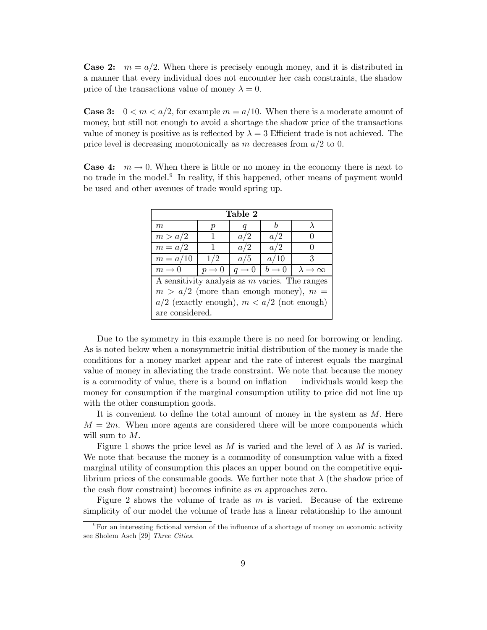**Case 2:**  $m = a/2$ . When there is precisely enough money, and it is distributed in a manner that every individual does not encounter her cash constraints, the shadow price of the transactions value of money  $\lambda = 0$ .

**Case 3:**  $0 < m < a/2$ , for example  $m = a/10$ . When there is a moderate amount of money, but still not enough to avoid a shortage the shadow price of the transactions value of money is positive as is reflected by  $\lambda = 3$  Efficient trade is not achieved. The price level is decreasing monotonically as m decreases from  $a/2$  to 0.

**Case 4:**  $m \rightarrow 0$ . When there is little or no money in the economy there is next to no trade in the model.<sup>9</sup> In reality, if this happened, other means of payment would be used and other avenues of trade would spring up.

| Table 2                                          |                   |                   |                   |                              |  |  |
|--------------------------------------------------|-------------------|-------------------|-------------------|------------------------------|--|--|
| m                                                | р                 | q                 | h                 |                              |  |  |
| m > a/2                                          | 1                 | a/2               | a/2               |                              |  |  |
| $m = a/2$                                        |                   | a/2               | a/2               |                              |  |  |
| $m = a/10$                                       | 1/2               | a/5               | a/10              | 3                            |  |  |
| $m \rightarrow 0$                                | $p \rightarrow 0$ | $q \rightarrow 0$ | $b \rightarrow 0$ | $\lambda \rightarrow \infty$ |  |  |
| A sensitivity analysis as $m$ varies. The ranges |                   |                   |                   |                              |  |  |
| $m > a/2$ (more than enough money), $m =$        |                   |                   |                   |                              |  |  |
| $a/2$ (exactly enough), $m < a/2$ (not enough)   |                   |                   |                   |                              |  |  |
| are considered.                                  |                   |                   |                   |                              |  |  |

Due to the symmetry in this example there is no need for borrowing or lending. As is noted below when a nonsymmetric initial distribution of the money is made the conditions for a money market appear and the rate of interest equals the marginal value of money in alleviating the trade constraint. We note that because the money is a commodity of value, there is a bound on inflation — individuals would keep the money for consumption if the marginal consumption utility to price did not line up with the other consumption goods.

It is convenient to define the total amount of money in the system as  $M$ . Here  $M = 2m$ . When more agents are considered there will be more components which will sum to  $M$ .

Figure 1 shows the price level as M is varied and the level of  $\lambda$  as M is varied. We note that because the money is a commodity of consumption value with a fixed marginal utility of consumption this places an upper bound on the competitive equilibrium prices of the consumable goods. We further note that  $\lambda$  (the shadow price of the cash flow constraint) becomes infinite as  $m$  approaches zero.

Figure 2 shows the volume of trade as  $m$  is varied. Because of the extreme simplicity of our model the volume of trade has a linear relationship to the amount

 $\rm{P}_{\rm F}$  For an interesting fictional version of the influence of a shortage of money on economic activity see Sholem Asch [29] Three Cities.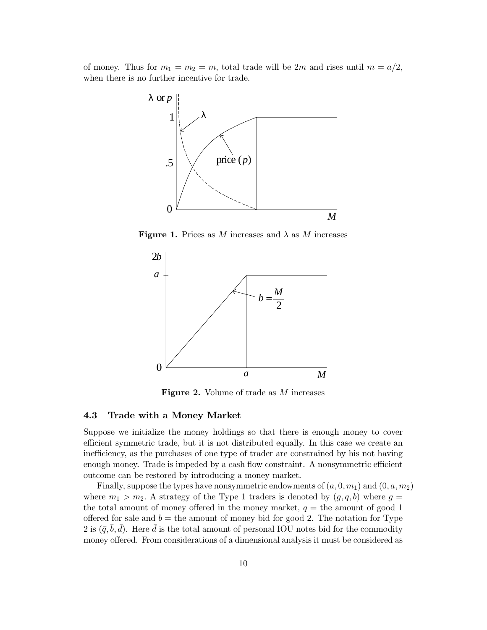of money. Thus for  $m_1 = m_2 = m$ , total trade will be 2m and rises until  $m = a/2$ , when there is no further incentive for trade.



**Figure 1.** Prices as M increases and  $\lambda$  as M increases



**Figure 2.** Volume of trade as M increases

#### 4.3 Trade with a Money Market

Suppose we initialize the money holdings so that there is enough money to cover efficient symmetric trade, but it is not distributed equally. In this case we create an inefficiency, as the purchases of one type of trader are constrained by his not having enough money. Trade is impeded by a cash flow constraint. A nonsymmetric efficient outcome can be restored by introducing a money market.

Finally, suppose the types have nonsymmetric endowments of  $(a,0,m_1)$  and  $(0,a,m_2)$ where  $m_1 > m_2$ . A strategy of the Type 1 traders is denoted by  $(q, q, b)$  where  $q =$ the total amount of money offered in the money market,  $q =$  the amount of good 1 offered for sale and  $b =$  the amount of money bid for good 2. The notation for Type 2 is  $(\bar{q}, \bar{b}, \bar{d})$ . Here  $\bar{d}$  is the total amount of personal IOU notes bid for the commodity money offered. From considerations of a dimensional analysis it must be considered as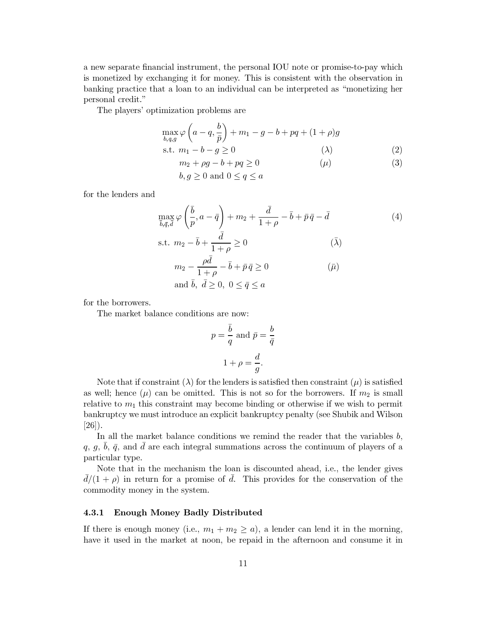a new separate financial instrument, the personal IOU note or promise-to-pay which is monetized by exchanging it for money. This is consistent with the observation in banking practice that a loan to an individual can be interpreted as "monetizing her personal credit."

The players' optimization problems are

$$
\max_{b,q,g} \varphi \left( a - q, \frac{b}{\bar{p}} \right) + m_1 - g - b + pq + (1 + \rho)g
$$
  
s.t.  $m_1 - b - g \ge 0$  (2)

$$
m_2 + \rho g - b + pq \ge 0 \tag{3}
$$

 $b, g \geq 0$  and  $0 \leq q \leq a$ 

for the lenders and

$$
\max_{\bar{b},\bar{q},\bar{d}} \varphi\left(\frac{\bar{b}}{p},a-\bar{q}\right) + m_2 + \frac{\bar{d}}{1+\rho} - \bar{b} + \bar{p}\bar{q} - \bar{d}
$$
(4)  
s.t.  $m_2 - \bar{b} + \frac{\bar{d}}{1+\rho} \ge 0$   $(\bar{\lambda})$   
 $m_2 - \frac{\rho\bar{d}}{1+\rho} - \bar{b} + \bar{p}\bar{q} \ge 0$   $(\bar{\mu})$ 

$$
1+\rho
$$
  
and  $\bar{b}$ ,  $\bar{d} \ge 0$ ,  $0 \le \bar{q} \le a$ 

for the borrowers.

The market balance conditions are now:

$$
p = \frac{\overline{b}}{q} \text{ and } \overline{p} = \frac{b}{\overline{q}}
$$

$$
1 + \rho = \frac{d}{g}.
$$

Note that if constraint ( $\lambda$ ) for the lenders is satisfied then constraint ( $\mu$ ) is satisfied as well; hence  $(\mu)$  can be omitted. This is not so for the borrowers. If  $m_2$  is small relative to  $m_1$  this constraint may become binding or otherwise if we wish to permit bankruptcy we must introduce an explicit bankruptcy penalty (see Shubik and Wilson  $[26]$ ).

In all the market balance conditions we remind the reader that the variables  $b$ , q, g, b,  $\bar{q}$ , and d are each integral summations across the continuum of players of a particular type.

Note that in the mechanism the loan is discounted ahead, i.e., the lender gives  $d/(1+\rho)$  in return for a promise of d. This provides for the conservation of the commodity money in the system.

#### 4.3.1 **Enough Money Badly Distributed**

If there is enough money (i.e.,  $m_1 + m_2 \ge a$ ), a lender can lend it in the morning, have it used in the market at noon, be repaid in the afternoon and consume it in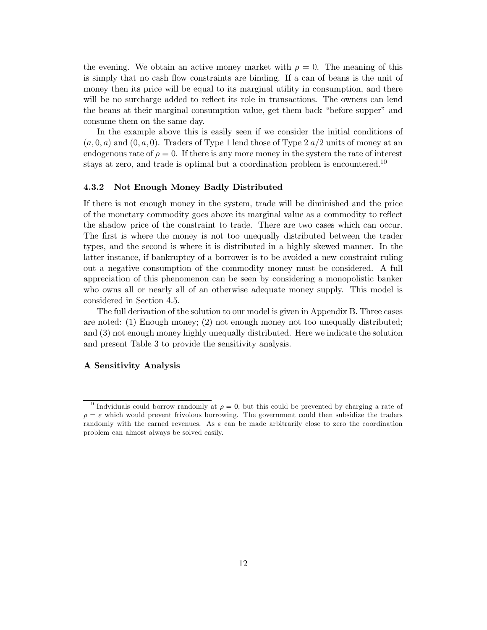the evening. We obtain an active money market with  $\rho = 0$ . The meaning of this is simply that no cash flow constraints are binding. If a can of beans is the unit of money then its price will be equal to its marginal utility in consumption, and there will be no surcharge added to reflect its role in transactions. The owners can lend the beans at their marginal consumption value, get them back "before supper" and consume them on the same day.

In the example above this is easily seen if we consider the initial conditions of  $(a,0,a)$  and  $(0,a,0)$ . Traders of Type 1 lend those of Type 2  $a/2$  units of money at an endogenous rate of  $\rho = 0$ . If there is any more money in the system the rate of interest stays at zero, and trade is optimal but a coordination problem is encountered.<sup>10</sup>

#### 4.3.2 Not Enough Money Badly Distributed

If there is not enough money in the system, trade will be diminished and the price of the monetary commodity goes above its marginal value as a commodity to reflect the shadow price of the constraint to trade. There are two cases which can occur. The first is where the money is not too unequally distributed between the trader types, and the second is where it is distributed in a highly skewed manner. In the latter instance, if bankruptcy of a borrower is to be avoided a new constraint ruling out a negative consumption of the commodity money must be considered. A full appreciation of this phenomenon can be seen by considering a monopolistic banker who owns all or nearly all of an otherwise adequate money supply. This model is considered in Section 4.5.

The full derivation of the solution to our model is given in Appendix B. Three cases are noted: (1) Enough money; (2) not enough money not too unequally distributed; and (3) not enough money highly unequally distributed. Here we indicate the solution and present Table 3 to provide the sensitivity analysis.

# A Sensitivity Analysis

<sup>&</sup>lt;sup>10</sup>Indviduals could borrow randomly at  $\rho = 0$ , but this could be prevented by charging a rate of  $\rho = \varepsilon$  which would prevent frivolous borrowing. The government could then subsidize the traders randomly with the earned revenues. As  $\varepsilon$  can be made arbitrarily close to zero the coordination problem can almost always be solved easily.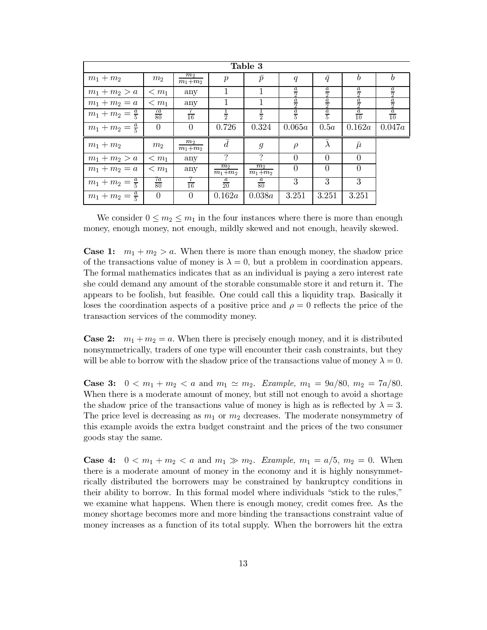| Table 3                   |                 |                      |                      |                      |               |                      |                             |                             |
|---------------------------|-----------------|----------------------|----------------------|----------------------|---------------|----------------------|-----------------------------|-----------------------------|
| $m_1 + m_2$               | m <sub>2</sub>  | $m_2$<br>$m_1 + m_2$ | $\boldsymbol{p}$     | $\bar{p}$            | q             | $\bar{q}$            | b                           |                             |
| $m_1 + m_2 > a$           | $\leq m_1$      | any                  | 1                    |                      | $\frac{a}{2}$ | $\frac{a}{2}$        | $\underline{a}$<br>$\Omega$ | $\underline{a}$<br>$\Omega$ |
| $m_1 + m_2 = a$           | $\leq m_1$      | any                  |                      |                      | $\frac{a}{2}$ | $\overline{a}$<br>Q. | $\frac{a}{2}$               | $\overline{a}$<br>$\Omega$  |
| $m_1 + m_2 = \frac{a}{5}$ | $\frac{7a}{80}$ | $\overline{16}$      | $\frac{1}{2}$        | $\frac{1}{2}$        | $\frac{a}{5}$ | $\frac{a}{5}$        | $\frac{a}{10}$              | $\frac{a}{10}$              |
| $m_1 + m_2 = \frac{a}{5}$ | $\Omega$        | $\left( \right)$     | 0.726                | 0.324                | 0.065a        | 0.5a                 | 0.162a                      | 0.047a                      |
| $m_1 + m_2$               | $m_2$           | $m_2$<br>$m_1 + m_2$ | $\bar{d}$            | $\mathfrak{g}$       | $\rho$        | $\lambda$            | $\bar{\mu}$                 |                             |
| $m_1 + m_2 > a$           | $\leq m_1$      | any                  | ?                    | $\mathcal{P}$        | $\Omega$      | $\Omega$             | $\Omega$                    |                             |
| $m_1 + m_2 = a$           | $\leq m_1$      | any                  | $m_2$<br>$m_1 + m_2$ | $m_2$<br>$m_1 + m_2$ | $\Omega$      | $\Omega$             | $\theta$                    |                             |
| $m_1 + m_2 = \frac{a}{5}$ | $\frac{7a}{80}$ | $\frac{7}{16}$       | $rac{a}{20}$         | $rac{a}{80}$         | 3             | 3                    | 3                           |                             |
| $m_1 + m_2 = \frac{a}{5}$ | $\Omega$        | $\left( \right)$     | 0.162a               | 0.038a               | 3.251         | 3.251                | 3.251                       |                             |

We consider  $0 \leq m_2 \leq m_1$  in the four instances where there is more than enough money, enough money, not enough, mildly skewed and not enough, heavily skewed.

**Case 1:**  $m_1 + m_2 > a$ . When there is more than enough money, the shadow price of the transactions value of money is  $\lambda = 0$ , but a problem in coordination appears. The formal mathematics indicates that as an individual is paying a zero interest rate she could demand any amount of the storable consumable store it and return it. The appears to be foolish, but feasible. One could call this a liquidity trap. Basically it loses the coordination aspects of a positive price and  $\rho = 0$  reflects the price of the transaction services of the commodity money.

**Case 2:**  $m_1 + m_2 = a$ . When there is precisely enough money, and it is distributed nonsymmetrically, traders of one type will encounter their cash constraints, but they will be able to borrow with the shadow price of the transactions value of money  $\lambda = 0$ .

**Case 3:**  $0 < m_1 + m_2 < a$  and  $m_1 \simeq m_2$ . *Example*,  $m_1 = 9a/80$ ,  $m_2 = 7a/80$ . When there is a moderate amount of money, but still not enough to avoid a shortage the shadow price of the transactions value of money is high as is reflected by  $\lambda = 3$ . The price level is decreasing as  $m_1$  or  $m_2$  decreases. The moderate nonsymmetry of this example avoids the extra budget constraint and the prices of the two consumer goods stay the same.

**Case 4:**  $0 < m_1 + m_2 < a$  and  $m_1 \gg m_2$ . *Example,*  $m_1 = a/5$ ,  $m_2 = 0$ . When there is a moderate amount of money in the economy and it is highly nonsymmetrically distributed the borrowers may be constrained by bankruptcy conditions in their ability to borrow. In this formal model where individuals "stick to the rules," we examine what happens. When there is enough money, credit comes free. As the money shortage becomes more and more binding the transactions constraint value of money increases as a function of its total supply. When the borrowers hit the extra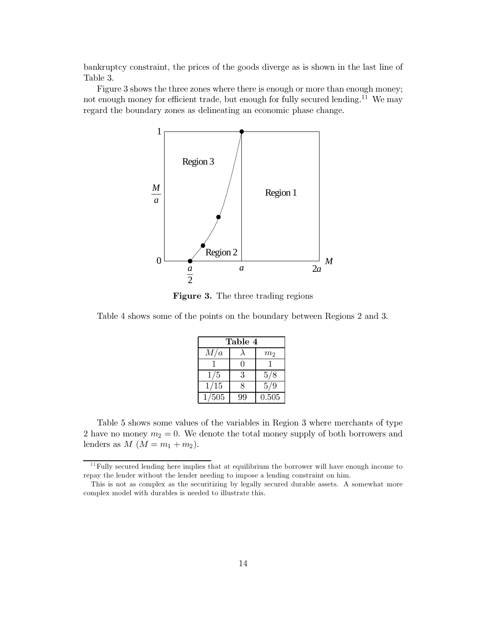bankruptcy constraint, the prices of the goods diverge as is shown in the last line of Table 3.

Figure 3 shows the three zones where there is enough or more than enough money; not enough money for efficient trade, but enough for fully secured lending.<sup>11</sup> We may regard the boundary zones as delineating an economic phase change.



**Figure 3.** The three trading regions

Table 4 shows some of the points on the boundary between Regions 2 and 3.

| Table 4 |    |                |  |  |
|---------|----|----------------|--|--|
| M/a     |    | m <sub>2</sub> |  |  |
|         |    |                |  |  |
| 1/5     | 3  | 5/8            |  |  |
| 1/15    | 8  | 5/9            |  |  |
| 1/505   | 99 | 0.505          |  |  |

Table 5 shows some values of the variables in Region 3 where merchants of type 2 have no money  $m_2 = 0$ . We denote the total money supply of both borrowers and lenders as  $M (M = m_1 + m_2)$ .

 $11$  Fully secured lending here implies that at equilibrium the borrower will have enough income to repay the lender without the lender needing to impose a lending constraint on him.

This is not as complex as the securitizing by legally secured durable assets. A somewhat more complex model with durables is needed to illustrate this.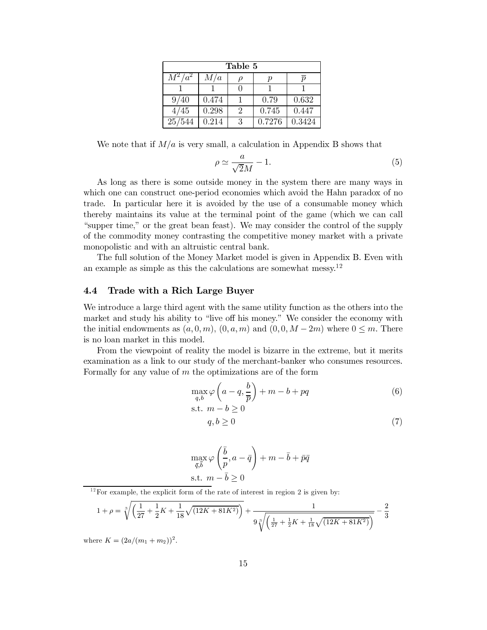| Table 5   |       |                             |        |                             |  |
|-----------|-------|-----------------------------|--------|-----------------------------|--|
| $M^2/a^2$ | M/a   |                             |        | $\overline{\boldsymbol{n}}$ |  |
|           |       |                             |        |                             |  |
| 9/40      | 0.474 |                             | 0.79   | 0.632                       |  |
| 4/45      | 0.298 | $\mathcal{D}_{\mathcal{L}}$ | 0.745  | 0.447                       |  |
| 25/544    | 0.214 | 3                           | 0.7276 | 0.3424                      |  |

We note that if  $M/a$  is very small, a calculation in Appendix B shows that

$$
\rho \simeq \frac{a}{\sqrt{2}M} - 1. \tag{5}
$$

As long as there is some outside money in the system there are many ways in which one can construct one-period economies which avoid the Hahn paradox of no trade. In particular here it is avoided by the use of a consumable money which thereby maintains its value at the terminal point of the game (which we can call "supper time," or the great bean feast). We may consider the control of the supply of the commodity money contrasting the competitive money market with a private monopolistic and with an altruistic central bank.

The full solution of the Money Market model is given in Appendix B. Even with an example as simple as this the calculations are somewhat messy.<sup>12</sup>

#### Trade with a Rich Large Buyer  $4.4$

We introduce a large third agent with the same utility function as the others into the market and study his ability to "live off his money." We consider the economy with the initial endowments as  $(a,0,m)$ ,  $(0,a,m)$  and  $(0,0,M-2m)$  where  $0 \leq m$ . There is no loan market in this model.

From the viewpoint of reality the model is bizarre in the extreme, but it merits examination as a link to our study of the merchant-banker who consumes resources. Formally for any value of  $m$  the optimizations are of the form

$$
\max_{q,b} \varphi\left(a-q, \frac{b}{\overline{p}}\right) + m - b + pq
$$
\n
$$
\text{s.t. } m - b \ge 0 \tag{6}
$$

$$
q, b \ge 0 \tag{7}
$$

$$
\max_{\bar{q}, \bar{b}} \varphi\left(\frac{\bar{b}}{p}, a - \bar{q}\right) + m - \bar{b} + \bar{p}\bar{q}
$$
  
s.t.  $m - \bar{b} \ge 0$ 

 $12$  For example, the explicit form of the rate of interest in region 2 is given by:

$$
1 + \rho = \sqrt[3]{\left(\frac{1}{27} + \frac{1}{2}K + \frac{1}{18}\sqrt{(12K + 81K^2)}\right)} + \frac{1}{9\sqrt[3]{\left(\frac{1}{27} + \frac{1}{2}K + \frac{1}{18}\sqrt{(12K + 81K^2)}\right)}} - \frac{2}{3}
$$

where  $K = (2a/(m_1 + m_2))^2$ .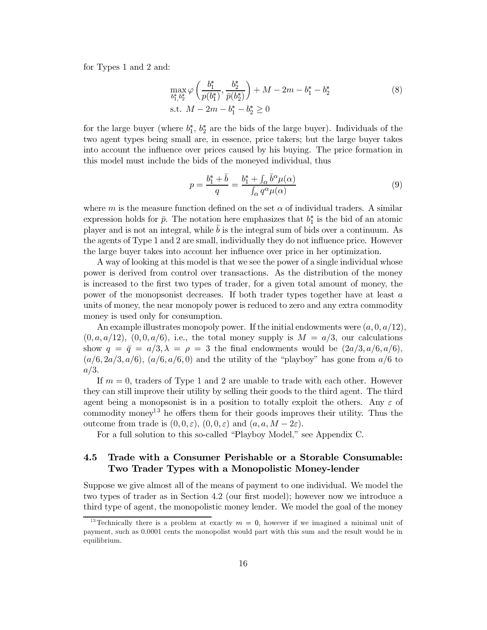for Types 1 and 2 and:

$$
\max_{b_1^*, b_2^*} \varphi \left( \frac{b_1^*}{p(b_1^*)}, \frac{b_2^*}{\bar{p}(b_2^*)} \right) + M - 2m - b_1^* - b_2^* \text{s.t. } M - 2m - b_1^* - b_2^* \ge 0
$$
\n(8)

for the large buyer (where  $b_1^*, b_2^*$  are the bids of the large buyer). Individuals of the two agent types being small are, in essence, price takers; but the large buyer takes into account the influence over prices caused by his buying. The price formation in this model must include the bids of the moneyed individual, thus

$$
p = \frac{b_1^* + \bar{b}}{q} = \frac{b_1^* + \int_{\alpha} \bar{b}^{\alpha} \mu(\alpha)}{\int_{\alpha} q^{\alpha} \mu(\alpha)}
$$
(9)

where m is the measure function defined on the set  $\alpha$  of individual traders. A similar expression holds for  $\bar{p}$ . The notation here emphasizes that  $b_1^*$  is the bid of an atomic player and is not an integral, while  $b$  is the integral sum of bids over a continuum. As the agents of Type 1 and 2 are small, individually they do not influence price. However the large buyer takes into account her influence over price in her optimization.

A way of looking at this model is that we see the power of a single individual whose power is derived from control over transactions. As the distribution of the money is increased to the first two types of trader, for a given total amount of money, the power of the monopsonist decreases. If both trader types together have at least a units of money, the near monopoly power is reduced to zero and any extra commodity money is used only for consumption.

An example illustrates monopoly power. If the initial endowments were  $(a, 0, a/12)$ ,  $(0, a, a/12)$ ,  $(0, 0, a/6)$ , i.e., the total money supply is  $M = a/3$ , our calculations show  $q = \bar{q} = a/3, \lambda = \rho = 3$  the final endowments would be  $(2a/3, a/6, a/6)$ .  $(a/6, 2a/3, a/6)$ ,  $(a/6, a/6, 0)$  and the utility of the "playboy" has gone from  $a/6$  to  $a/3.$ 

If  $m = 0$ , traders of Type 1 and 2 are unable to trade with each other. However they can still improve their utility by selling their goods to the third agent. The third agent being a monopsonist is in a position to totally exploit the others. Any  $\varepsilon$  of commodity money<sup>13</sup> he offers them for their goods improves their utility. Thus the outcome from trade is  $(0,0,\varepsilon)$ ,  $(0,0,\varepsilon)$  and  $(a,a,M-2\varepsilon)$ .

For a full solution to this so-called "Playboy Model," see Appendix C.

## $4.5$ Trade with a Consumer Perishable or a Storable Consumable: Two Trader Types with a Monopolistic Money-lender

Suppose we give almost all of the means of payment to one individual. We model the two types of trader as in Section 4.2 (our first model); however now we introduce a third type of agent, the monopolistic money lender. We model the goal of the money

<sup>&</sup>lt;sup>13</sup> Technically there is a problem at exactly  $m = 0$ , however if we imagined a minimal unit of payment, such as 0.0001 cents the monopolist would part with this sum and the result would be in equilibrium.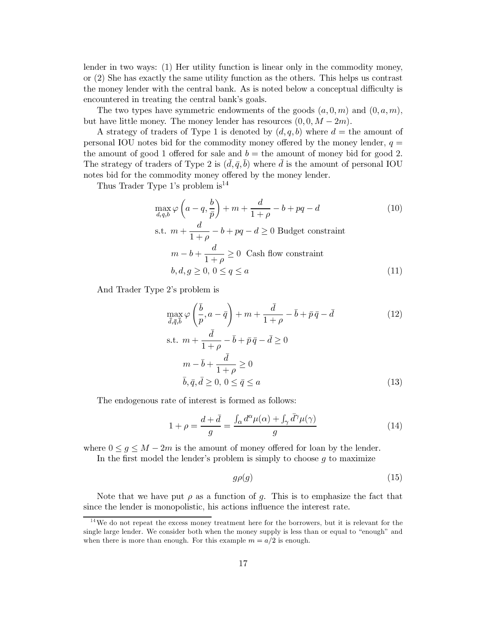lender in two ways:  $(1)$  Her utility function is linear only in the commodity money, or  $(2)$  She has exactly the same utility function as the others. This helps us contrast the money lender with the central bank. As is noted below a conceptual difficulty is encountered in treating the central bank's goals.

The two types have symmetric endowments of the goods  $(a,0,m)$  and  $(0,a,m)$ , but have little money. The money lender has resources  $(0,0,M-2m)$ .

A strategy of traders of Type 1 is denoted by  $(d, q, b)$  where  $d =$  the amount of personal IOU notes bid for the commodity money offered by the money lender,  $q =$ the amount of good 1 offered for sale and  $b =$  the amount of money bid for good 2. The strategy of traders of Type 2 is  $(d, \bar{q}, b)$  where d is the amount of personal IOU notes bid for the commodity money offered by the money lender.

Thus Trader Type 1's problem is  $14$ 

$$
\max_{d,q,b} \varphi\left(a-q, \frac{b}{\bar{p}}\right) + m + \frac{d}{1+\rho} - b + pq - d \tag{10}
$$

s.t. 
$$
m + \frac{d}{1+\rho} - b + pq - d \ge 0
$$
 Budget constraint  
\n $m - b + \frac{d}{1+\rho} \ge 0$  Cash flow constraint  
\n $b, d, g \ge 0, 0 \le q \le a$  (11)

And Trader Type 2's problem is

$$
\max_{\bar{d},\bar{q},\bar{b}} \varphi\left(\frac{\bar{b}}{p},a-\bar{q}\right) + m + \frac{\bar{d}}{1+\rho} - \bar{b} + \bar{p}\bar{q} - \bar{d}
$$
\n
$$
\text{s.t. } m + \frac{\bar{d}}{1+\rho} - \bar{b} + \bar{p}\bar{q} - \bar{d} \ge 0
$$
\n
$$
m - \bar{b} + \frac{\bar{d}}{1+\rho} \ge 0
$$
\n
$$
\bar{b}, \bar{q}, \bar{d} \ge 0, 0 \le \bar{q} \le a
$$
\n(13)

The endogenous rate of interest is formed as follows:

$$
1 + \rho = \frac{d + \bar{d}}{g} = \frac{\int_{\alpha} d^{\alpha} \mu(\alpha) + \int_{\gamma} \bar{d}^{\gamma} \mu(\gamma)}{g} \tag{14}
$$

where  $0 \leq g \leq M - 2m$  is the amount of money offered for loan by the lender.

In the first model the lender's problem is simply to choose  $g$  to maximize

$$
g\rho(g) \tag{15}
$$

Note that we have put  $\rho$  as a function of g. This is to emphasize the fact that since the lender is monopolistic, his actions influence the interest rate.

<sup>&</sup>lt;sup>14</sup>We do not repeat the excess money treatment here for the borrowers, but it is relevant for the single large lender. We consider both when the money supply is less than or equal to "enough" and when there is more than enough. For this example  $m = a/2$  is enough.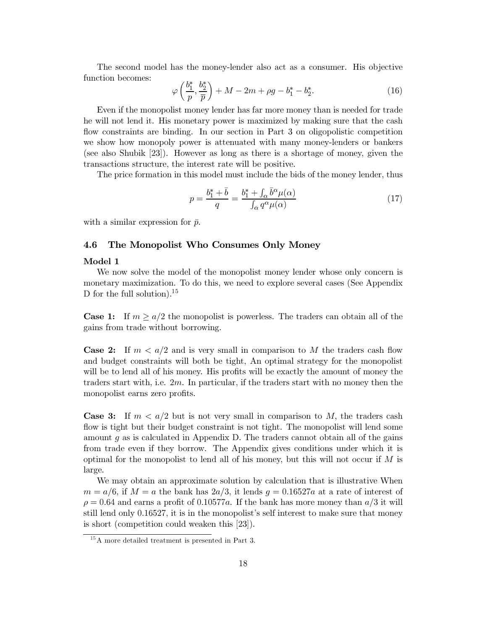The second model has the money-lender also act as a consumer. His objective function becomes:

$$
\varphi\left(\frac{b_1^*,}{p}, \frac{b_2^*}{\overline{p}}\right) + M - 2m + \rho g - b_1^* - b_2^*.
$$
 (16)

Even if the monopolist money lender has far more money than is needed for trade he will not lend it. His monetary power is maximized by making sure that the cash flow constraints are binding. In our section in Part 3 on oligopolistic competition we show how monopoly power is attenuated with many money-lenders or bankers (see also Shubik [23]). However as long as there is a shortage of money, given the transactions structure, the interest rate will be positive.

The price formation in this model must include the bids of the money lender, thus

$$
p = \frac{b_1^* + b}{q} = \frac{b_1^* + \int_\alpha b^\alpha \mu(\alpha)}{\int_\alpha q^\alpha \mu(\alpha)}\tag{17}
$$

with a similar expression for  $\bar{p}$ .

#### The Monopolist Who Consumes Only Money 4.6

# Model 1

We now solve the model of the monopolist money lender whose only concern is monetary maximization. To do this, we need to explore several cases (See Appendix D for the full solution).<sup>15</sup>

**Case 1:** If  $m \ge a/2$  the monopolist is powerless. The traders can obtain all of the gains from trade without borrowing.

**Case 2:** If  $m < a/2$  and is very small in comparison to M the traders cash flow and budget constraints will both be tight, An optimal strategy for the monopolist will be to lend all of his money. His profits will be exactly the amount of money the traders start with, i.e.  $2m$ . In particular, if the traders start with no money then the monopolist earns zero profits.

**Case 3:** If  $m < a/2$  but is not very small in comparison to M, the traders cash flow is tight but their budget constraint is not tight. The monopolist will lend some amount  $q$  as is calculated in Appendix D. The traders cannot obtain all of the gains from trade even if they borrow. The Appendix gives conditions under which it is optimal for the monopolist to lend all of his money, but this will not occur if  $M$  is large.

We may obtain an approximate solution by calculation that is illustrative When  $m = a/6$ , if  $M = a$  the bank has  $2a/3$ , it lends  $g = 0.16527a$  at a rate of interest of  $\rho = 0.64$  and earns a profit of 0.10577a. If the bank has more money than  $a/3$  it will still lend only 0.16527, it is in the monopolist's self interest to make sure that money is short (competition could weaken this  $[23]$ ).

 $1<sup>5</sup>A$  more detailed treatment is presented in Part 3.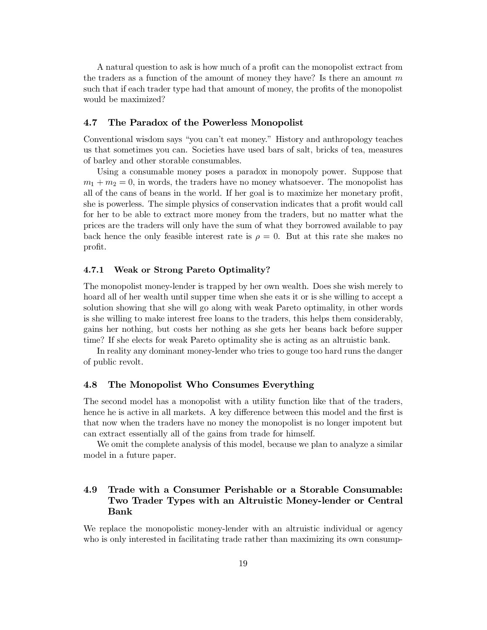A natural question to ask is how much of a profit can the monopolist extract from the traders as a function of the amount of money they have? Is there an amount  $m$ such that if each trader type had that amount of money, the profits of the monopolist would be maximized?

#### 4.7 The Paradox of the Powerless Monopolist

Conventional wisdom says "you can't eat money." History and anthropology teaches us that sometimes you can. Societies have used bars of salt, bricks of tea, measures of barley and other storable consumables.

Using a consumable money poses a paradox in monopoly power. Suppose that  $m_1 + m_2 = 0$ , in words, the traders have no money whatsoever. The monopolist has all of the cans of beans in the world. If her goal is to maximize her monetary profit, she is powerless. The simple physics of conservation indicates that a profit would call for her to be able to extract more money from the traders, but no matter what the prices are the traders will only have the sum of what they borrowed available to pay back hence the only feasible interest rate is  $\rho = 0$ . But at this rate she makes no profit.

#### 4.7.1 Weak or Strong Pareto Optimality?

The monopolist money-lender is trapped by her own wealth. Does she wish merely to hoard all of her wealth until supper time when she eats it or is she willing to accept a solution showing that she will go along with weak Pareto optimality, in other words is she willing to make interest free loans to the traders, this helps them considerably, gains her nothing, but costs her nothing as she gets her beans back before supper time? If she elects for weak Pareto optimality she is acting as an altruistic bank.

In reality any dominant money-lender who tries to gouge too hard runs the danger of public revolt.

#### 4.8 The Monopolist Who Consumes Everything

The second model has a monopolist with a utility function like that of the traders, hence he is active in all markets. A key difference between this model and the first is that now when the traders have no money the monopolist is no longer impotent but can extract essentially all of the gains from trade for himself.

We omit the complete analysis of this model, because we plan to analyze a similar model in a future paper.

## Trade with a Consumer Perishable or a Storable Consumable: 4.9 Two Trader Types with an Altruistic Money-lender or Central **Bank**

We replace the monopolistic money-lender with an altruistic individual or agency who is only interested in facilitating trade rather than maximizing its own consump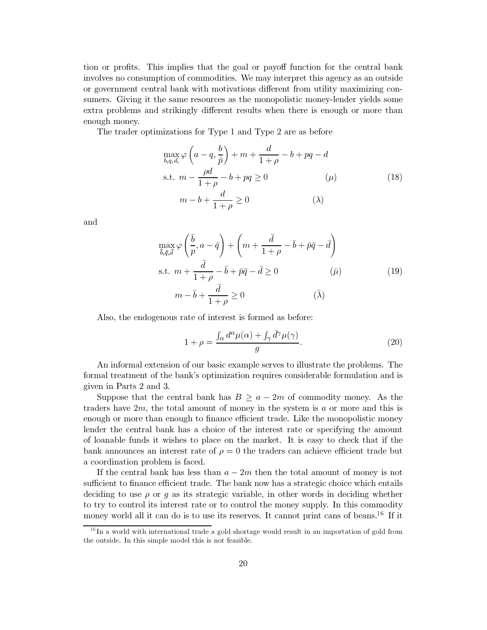tion or profits. This implies that the goal or payoff function for the central bank involves no consumption of commodities. We may interpret this agency as an outside or government central bank with motivations different from utility maximizing consumers. Giving it the same resources as the monopolistic money-lender yields some extra problems and strikingly different results when there is enough or more than enough money.

The trader optimizations for Type 1 and Type 2 are as before

$$
\max_{b,q,d,\omega} \varphi \left( a - q, \frac{b}{\bar{p}} \right) + m + \frac{d}{1+\rho} - b + pq - d
$$
\n
$$
\text{s.t. } m - \frac{\rho d}{1+\rho} - b + pq \ge 0 \qquad (\mu)
$$
\n
$$
m - b + \frac{d}{1+\rho} \ge 0 \qquad (\lambda)
$$
\n(18)

and

$$
\max_{\bar{b},\bar{q},\bar{d}} \varphi\left(\frac{\bar{b}}{p},a-\bar{q}\right) + \left(m + \frac{\bar{d}}{1+\rho} - \bar{b} + \bar{p}\bar{q} - \bar{d}\right)
$$
\n
$$
\text{s.t. } m + \frac{\bar{d}}{1+\rho} - \bar{b} + \bar{p}\bar{q} - \bar{d} \ge 0 \qquad (\bar{\mu})
$$
\n
$$
m - \bar{b} + \frac{\bar{d}}{1+\rho} \ge 0 \qquad (\bar{\lambda})
$$
\n(19)

Also, the endogenous rate of interest is formed as before:

$$
1 + \rho = \frac{\int_{\alpha} d^{\alpha} \mu(\alpha) + \int_{\gamma} d^{\gamma} \mu(\gamma)}{g}.
$$
 (20)

An informal extension of our basic example serves to illustrate the problems. The formal treatment of the bank's optimization requires considerable formulation and is given in Parts 2 and 3.

Suppose that the central bank has  $B \ge a - 2m$  of commodity money. As the traders have  $2m$ , the total amount of money in the system is a or more and this is enough or more than enough to finance efficient trade. Like the monopolistic money lender the central bank has a choice of the interest rate or specifying the amount of loanable funds it wishes to place on the market. It is easy to check that if the bank announces an interest rate of  $\rho = 0$  the traders can achieve efficient trade but a coordination problem is faced.

If the central bank has less than  $a-2m$  then the total amount of money is not sufficient to finance efficient trade. The bank now has a strategic choice which entails deciding to use  $\rho$  or g as its strategic variable, in other words in deciding whether to try to control its interest rate or to control the money supply. In this commodity money world all it can do is to use its reserves. It cannot print cans of beans.<sup>16</sup> If it

 $16$  In a world with international trade a gold shortage would result in an importation of gold from the outside. In this simple model this is not feasible.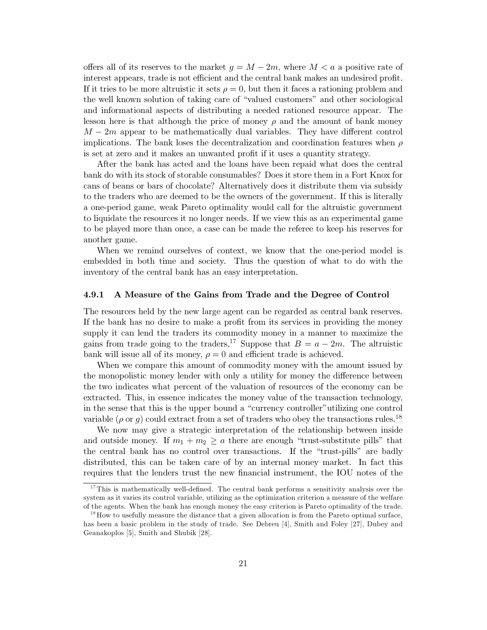offers all of its reserves to the market  $q = M - 2m$ , where  $M < a$  a positive rate of interest appears, trade is not efficient and the central bank makes an undesired profit. If it tries to be more altruistic it sets  $\rho = 0$ , but then it faces a rationing problem and the well known solution of taking care of "valued customers" and other sociological and informational aspects of distributing a needed rationed resource appear. The lesson here is that although the price of money  $\rho$  and the amount of bank money  $M-2m$  appear to be mathematically dual variables. They have different control implications. The bank loses the decentralization and coordination features when  $\rho$ is set at zero and it makes an unwanted profit if it uses a quantity strategy.

After the bank has acted and the loans have been repaid what does the central bank do with its stock of storable consumables? Does it store them in a Fort Knox for cans of beans or bars of chocolate? Alternatively does it distribute them via subsidy to the traders who are deemed to be the owners of the government. If this is literally a one-period game, weak Pareto optimality would call for the altruistic government to liquidate the resources it no longer needs. If we view this as an experimental game to be played more than once, a case can be made the referee to keep his reserves for another game.

When we remind ourselves of context, we know that the one-period model is embedded in both time and society. Thus the question of what to do with the inventory of the central bank has an easy interpretation.

#### 4.9.1 A Measure of the Gains from Trade and the Degree of Control

The resources held by the new large agent can be regarded as central bank reserves. If the bank has no desire to make a profit from its services in providing the money supply it can lend the traders its commodity money in a manner to maximize the gains from trade going to the traders,<sup>17</sup> Suppose that  $B = a - 2m$ . The altruistic bank will issue all of its money,  $\rho = 0$  and efficient trade is achieved.

When we compare this amount of commodity money with the amount issued by the monopolistic money lender with only a utility for money the difference between the two indicates what percent of the valuation of resources of the economy can be extracted. This, in essence indicates the money value of the transaction technology, in the sense that this is the upper bound a "currency controller" utilizing one control variable ( $\rho$  or g) could extract from a set of traders who obey the transactions rules.<sup>18</sup>

We now may give a strategic interpretation of the relationship between inside and outside money. If  $m_1 + m_2 \ge a$  there are enough "trust-substitute pills" that the central bank has no control over transactions. If the "trust-pills" are badly distributed, this can be taken care of by an internal money market. In fact this requires that the lenders trust the new financial instrument, the IOU notes of the

<sup>&</sup>lt;sup>17</sup>This is mathematically well-defined. The central bank performs a sensitivity analysis over the system as it varies its control variable, utilizing as the optimization criterion a measure of the welfare of the agents. When the bank has enough money the easy criterion is Pareto optimality of the trade.

 $^{18}$  How to usefully measure the distance that a given allocation is from the Pareto optimal surface, has been a basic problem in the study of trade. See Debreu [4], Smith and Foley [27], Dubey and Geanakoplos [5], Smith and Shubik [28].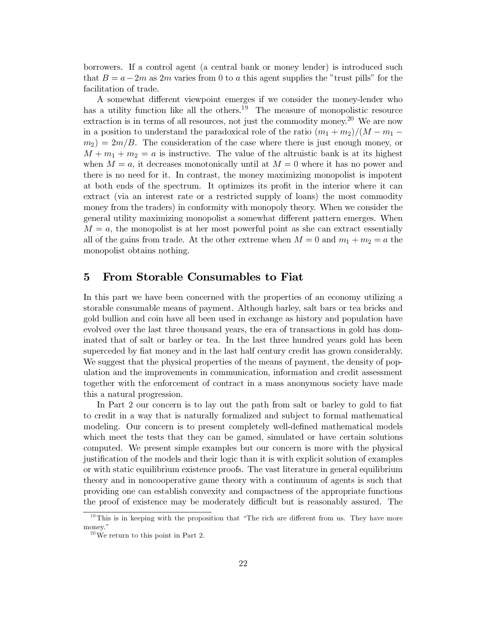borrowers. If a control agent (a central bank or money lender) is introduced such that  $B = a - 2m$  as 2m varies from 0 to a this agent supplies the "trust pills" for the facilitation of trade.

A somewhat different viewpoint emerges if we consider the money-lender who has a utility function like all the others.<sup>19</sup> The measure of monopolistic resource extraction is in terms of all resources, not just the commodity money.<sup>20</sup> We are now in a position to understand the paradoxical role of the ratio  $(m_1 + m_2)/(M - m_1$  $m_2$ ) = 2m/B. The consideration of the case where there is just enough money, or  $M + m_1 + m_2 = a$  is instructive. The value of the altruistic bank is at its highest when  $M = a$ , it decreases monotonically until at  $M = 0$  where it has no power and there is no need for it. In contrast, the money maximizing monopolist is impotent at both ends of the spectrum. It optimizes its profit in the interior where it can extract (via an interest rate or a restricted supply of loans) the most commodity money from the traders) in conformity with monopoly theory. When we consider the general utility maximizing monopolist a somewhat different pattern emerges. When  $M = a$ , the monopolist is at her most powerful point as she can extract essentially all of the gains from trade. At the other extreme when  $M = 0$  and  $m_1 + m_2 = a$  the monopolist obtains nothing.

### From Storable Consumables to Fiat  $\overline{5}$

In this part we have been concerned with the properties of an economy utilizing a storable consumable means of payment. Although barley, salt bars or tea bricks and gold bullion and coin have all been used in exchange as history and population have evolved over the last three thousand years, the era of transactions in gold has dominated that of salt or barley or tea. In the last three hundred years gold has been superceded by fiat money and in the last half century credit has grown considerably. We suggest that the physical properties of the means of payment, the density of population and the improvements in communication, information and credit assessment together with the enforcement of contract in a mass anonymous society have made this a natural progression.

In Part 2 our concern is to lay out the path from salt or barley to gold to fiat to credit in a way that is naturally formalized and subject to formal mathematical modeling. Our concern is to present completely well-defined mathematical models which meet the tests that they can be gamed, simulated or have certain solutions computed. We present simple examples but our concern is more with the physical justification of the models and their logic than it is with explicit solution of examples or with static equilibrium existence proofs. The vast literature in general equilibrium theory and in noncooperative game theory with a continuum of agents is such that providing one can establish convexity and compactness of the appropriate functions the proof of existence may be moderately difficult but is reasonably assured. The

 $19$ This is in keeping with the proposition that "The rich are different from us. They have more money."

 $120$  We return to this point in Part 2.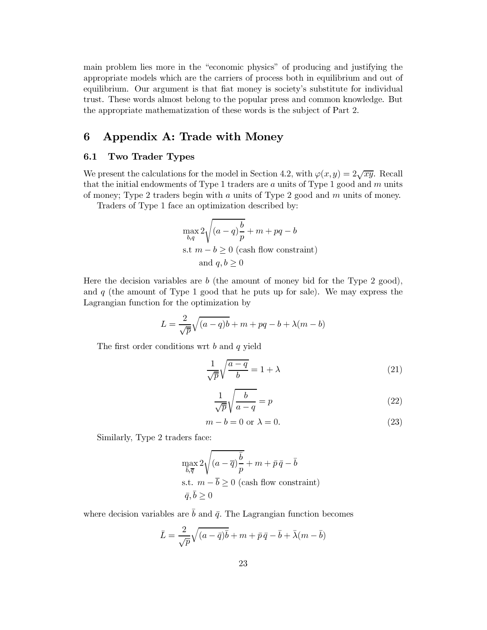main problem lies more in the "economic physics" of producing and justifying the appropriate models which are the carriers of process both in equilibrium and out of equilibrium. Our argument is that fiat money is society's substitute for individual trust. These words almost belong to the popular press and common knowledge. But the appropriate mathematization of these words is the subject of Part 2.

### Appendix A: Trade with Money 6

#### $6.1$ Two Trader Types

We present the calculations for the model in Section 4.2, with  $\varphi(x, y) = 2\sqrt{xy}$ . Recall that the initial endowments of Type 1 traders are  $a$  units of Type 1 good and  $m$  units of money; Type 2 traders begin with  $a$  units of Type 2 good and  $m$  units of money.

Traders of Type 1 face an optimization described by:

$$
\max_{b,q} 2\sqrt{(a-q)\frac{b}{p}} + m + pq - b
$$
  
s.t  $m - b \ge 0$  (cash flow constraint)  
and  $q, b \ge 0$ 

Here the decision variables are  $b$  (the amount of money bid for the Type 2 good), and  $q$  (the amount of Type 1 good that he puts up for sale). We may express the Lagrangian function for the optimization by

$$
L = \frac{2}{\sqrt{p}}\sqrt{(a-q)b} + m + pq - b + \lambda(m - b)
$$

The first order conditions wrt  $b$  and  $q$  yield

$$
\frac{1}{\sqrt{p}}\sqrt{\frac{a-q}{b}} = 1 + \lambda\tag{21}
$$

$$
\frac{1}{\sqrt{\overline{p}}} \sqrt{\frac{b}{a-q}} = p \tag{22}
$$

$$
m - b = 0 \text{ or } \lambda = 0. \tag{23}
$$

Similarly, Type 2 traders face:

$$
\begin{aligned} &\max_{\overline{b},\overline{q}} 2\sqrt{(a - \overline{q})\frac{\overline{b}}{p}} + m + \bar{p}\,\bar{q} - \overline{b} \\ &\text{s.t.}~~ m - \overline{b} \geq 0~\text{(cash flow constraint)}\\ &\bar{q},\bar{b} \geq 0 \end{aligned}
$$

where decision variables are  $\bar{b}$  and  $\bar{q}$ . The Lagrangian function becomes

$$
\bar{L} = \frac{2}{\sqrt{p}}\sqrt{(a - \bar{q})\bar{b}} + m + \bar{p}\bar{q} - \bar{b} + \bar{\lambda}(m - \bar{b})
$$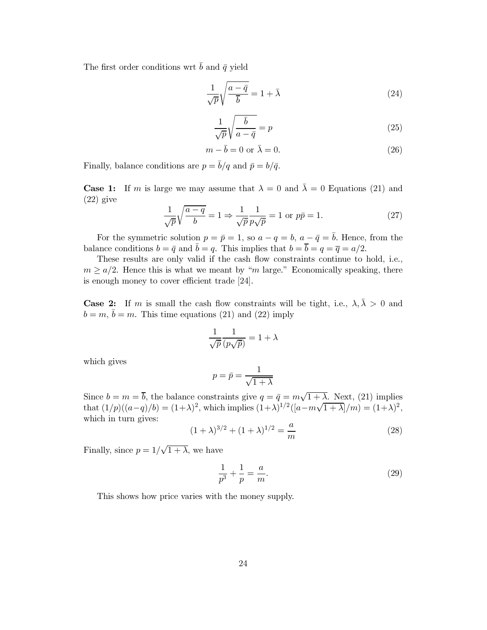The first order conditions wrt  $\bar{b}$  and  $\bar{q}$  yield

$$
\frac{1}{\sqrt{p}}\sqrt{\frac{a-\bar{q}}{\bar{b}}}=1+\bar{\lambda}
$$
\n(24)

$$
\frac{1}{\sqrt{p}}\sqrt{\frac{\bar{b}}{a-\bar{q}}}=p
$$
\n(25)

$$
m - \bar{b} = 0 \text{ or } \bar{\lambda} = 0. \tag{26}
$$

Finally, balance conditions are  $p = \bar{b}/q$  and  $\bar{p} = b/\bar{q}$ .

**Case 1:** If m is large we may assume that  $\lambda = 0$  and  $\overline{\lambda} = 0$  Equations (21) and  $(22)$  give

$$
\frac{1}{\sqrt{p}}\sqrt{\frac{a-q}{b}} = 1 \Rightarrow \frac{1}{\sqrt{p}}\frac{1}{p\sqrt{p}} = 1 \text{ or } p\bar{p} = 1.
$$
 (27)

For the symmetric solution  $p = \bar{p} = 1$ , so  $a - q = b$ ,  $a - \bar{q} = \bar{b}$ . Hence, from the balance conditions  $b = \bar{q}$  and  $\bar{b} = q$ . This implies that  $b = \bar{b} = \bar{q} = \bar{q} = a/2$ .

These results are only valid if the cash flow constraints continue to hold, i.e.,  $m \ge a/2$ . Hence this is what we meant by "m large." Economically speaking, there is enough money to cover efficient trade [24].

**Case 2:** If m is small the cash flow constraints will be tight, i.e.,  $\lambda, \overline{\lambda} > 0$  and  $b = m, \bar{b} = m$ . This time equations (21) and (22) imply

$$
\frac{1}{\sqrt{\bar{p}}}\frac{1}{(p\sqrt{\bar{p}})} = 1 + \lambda
$$

which gives

$$
p = \bar{p} = \frac{1}{\sqrt{1 + \lambda}}
$$

Since  $b = m = \overline{b}$ , the balance constraints give  $q = \overline{q} = m\sqrt{1 + \lambda}$ . Next, (21) implies that  $(1/p)((a-q)/b) = (1+\lambda)^2$ , which implies  $(1+\lambda)^{1/2}([a-m\sqrt{1+\lambda}]/m) = (1+\lambda)^2$ , which in turn gives:

$$
(1+\lambda)^{3/2} + (1+\lambda)^{1/2} = \frac{a}{m}
$$
 (28)

Finally, since  $p = 1/\sqrt{1 + \lambda}$ , we have

$$
\frac{1}{p^3} + \frac{1}{p} = \frac{a}{m}.\tag{29}
$$

This shows how price varies with the money supply.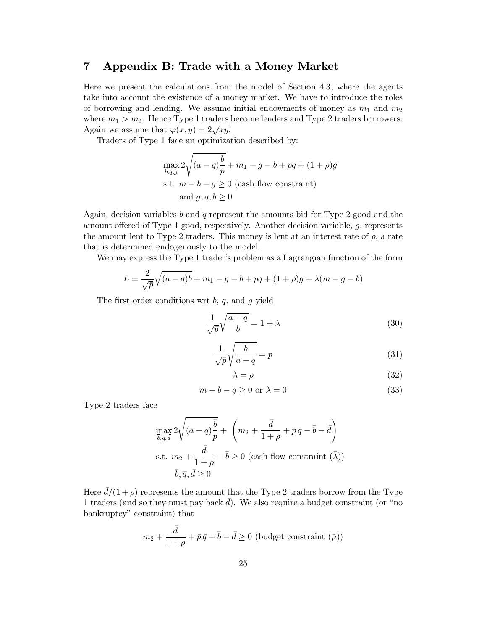#### Appendix B: Trade with a Money Market  $\overline{\mathbf{7}}$

Here we present the calculations from the model of Section 4.3, where the agents take into account the existence of a money market. We have to introduce the roles of borrowing and lending. We assume initial endowments of money as  $m_1$  and  $m_2$ where  $m_1 > m_2$ . Hence Type 1 traders become lenders and Type 2 traders borrowers. Again we assume that  $\varphi(x,y) = 2\sqrt{xy}$ .

Traders of Type 1 face an optimization described by:

$$
\max_{b,q,g} 2\sqrt{(a-q)\frac{b}{p}} + m_1 - g - b + pq + (1+\rho)g
$$
  
s.t.  $m - b - g \ge 0$  (cash flow constraint)  
and  $g, q, b \ge 0$ 

Again, decision variables b and q represent the amounts bid for Type 2 good and the amount offered of Type 1 good, respectively. Another decision variable,  $g$ , represents the amount lent to Type 2 traders. This money is lent at an interest rate of  $\rho$ , a rate that is determined endogenously to the model.

We may express the Type 1 trader's problem as a Lagrangian function of the form

$$
L = \frac{2}{\sqrt{p}}\sqrt{(a-q)b} + m_1 - g - b + pq + (1+\rho)g + \lambda(m-g-b)
$$

The first order conditions wrt  $b, q$ , and  $g$  yield

$$
\frac{1}{\sqrt{\bar{p}}} \sqrt{\frac{a-q}{b}} = 1 + \lambda \tag{30}
$$

$$
\frac{1}{\sqrt{\bar{p}}} \sqrt{\frac{b}{a-q}} = p \tag{31}
$$

$$
\lambda = \rho \tag{32}
$$

$$
m - b - g \ge 0 \text{ or } \lambda = 0 \tag{33}
$$

Type 2 traders face

$$
\max_{\bar{b},\bar{q},\bar{d}} 2\sqrt{(a-\bar{q})\frac{\bar{b}}{p}} + \left(m_2 + \frac{\bar{d}}{1+\rho} + \bar{p}\,\bar{q} - \bar{b} - \bar{d}\right)
$$
  
s.t.  $m_2 + \frac{\bar{d}}{1+\rho} - \bar{b} \ge 0$  (cash flow constraint  $(\bar{\lambda})$ )  
 $\bar{b}, \bar{q}, \bar{d} \ge 0$ 

Here  $d/(1+\rho)$  represents the amount that the Type 2 traders borrow from the Type 1 traders (and so they must pay back  $\overline{d}$ ). We also require a budget constraint (or "no bankruptcy" constraint) that

$$
m_2+\frac{\bar{d}}{1+\rho}+\bar{p}\,\bar{q}-\bar{b}-\bar{d}\geq 0\text{ (budget constraint } (\bar{\mu}))
$$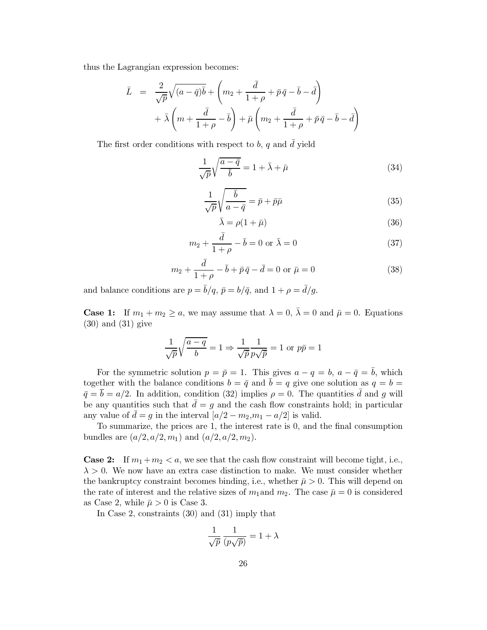thus the Lagrangian expression becomes:

$$
\overline{L} = \frac{2}{\sqrt{p}}\sqrt{(a-\overline{q})\overline{b}} + \left(m_2 + \frac{\overline{d}}{1+\rho} + \overline{p}\,\overline{q} - \overline{b} - \overline{d}\right) \n+ \overline{\lambda}\left(m + \frac{\overline{d}}{1+\rho} - \overline{b}\right) + \overline{\mu}\left(m_2 + \frac{\overline{d}}{1+\rho} + \overline{p}\,\overline{q} - \overline{b} - \overline{d}\right)
$$

The first order conditions with respect to b, q and  $\bar{d}$  yield

$$
\frac{1}{\sqrt{p}}\sqrt{\frac{a-\bar{q}}{\bar{b}}}=1+\bar{\lambda}+\bar{\mu}
$$
\n(34)

$$
\frac{1}{\sqrt{p}}\sqrt{\frac{\bar{b}}{a-\bar{q}}} = \bar{p} + \bar{p}\bar{\mu}
$$
\n(35)

$$
\bar{\lambda} = \rho(1 + \bar{\mu})\tag{36}
$$

$$
m_2 + \frac{d}{1+\rho} - \bar{b} = 0 \text{ or } \bar{\lambda} = 0
$$
\n
$$
(37)
$$

$$
m_2 + \frac{d}{1+\rho} - \bar{b} + \bar{p}\bar{q} - \bar{d} = 0 \text{ or } \bar{\mu} = 0 \tag{38}
$$

and balance conditions are  $p = \bar{b}/q$ ,  $\bar{p} = b/\bar{q}$ , and  $1 + \rho = \bar{d}/g$ .

**Case 1:** If  $m_1 + m_2 \ge a$ , we may assume that  $\lambda = 0$ ,  $\overline{\lambda} = 0$  and  $\overline{\mu} = 0$ . Equations  $(30)$  and  $(31)$  give

$$
\frac{1}{\sqrt{p}}\sqrt{\frac{a-q}{b}} = 1 \Rightarrow \frac{1}{\sqrt{p}}\frac{1}{p\sqrt{p}} = 1 \text{ or } p\overline{p} = 1
$$

For the symmetric solution  $p = \bar{p} = 1$ . This gives  $a - q = b$ ,  $a - \bar{q} = \bar{b}$ , which together with the balance conditions  $b = \bar{q}$  and  $\bar{b} = q$  give one solution as  $q = b =$  $\bar{q} = \bar{b} = a/2$ . In addition, condition (32) implies  $\rho = 0$ . The quantities  $\bar{d}$  and g will be any quantities such that  $\bar{d} = g$  and the cash flow constraints hold; in particular any value of  $\bar{d} = g$  in the interval  $[a/2 - m_2, m_1 - a/2]$  is valid.

To summarize, the prices are 1, the interest rate is 0, and the final consumption bundles are  $(a/2, a/2, m_1)$  and  $(a/2, a/2, m_2)$ .

**Case 2:** If  $m_1 + m_2 < a$ , we see that the cash flow constraint will become tight, i.e.,  $\lambda > 0$ . We now have an extra case distinction to make. We must consider whether the bankruptcy constraint becomes binding, i.e., whether  $\bar{\mu} > 0$ . This will depend on the rate of interest and the relative sizes of  $m_1$  and  $m_2$ . The case  $\bar{\mu} = 0$  is considered as Case 2, while  $\bar{\mu} > 0$  is Case 3.

In Case 2, constraints  $(30)$  and  $(31)$  imply that

$$
\frac{1}{\sqrt{\bar{p}}}\frac{1}{(p\sqrt{\bar{p}})} = 1 + \lambda
$$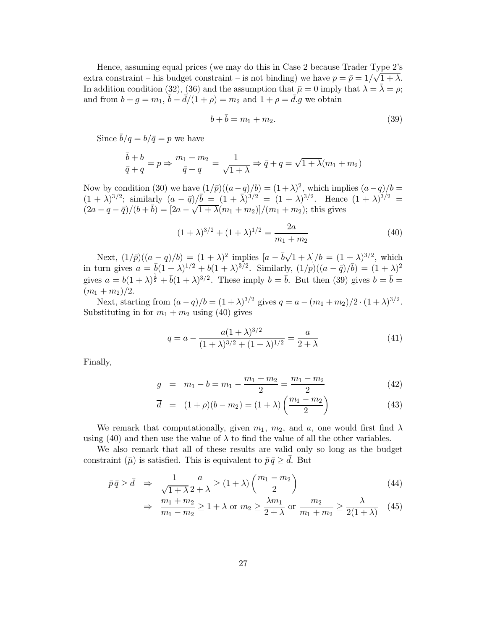Hence, assuming equal prices (we may do this in Case 2 because Trader Type 2's extra constraint – his budget constraint – is not binding) we have  $p = \bar{p} = 1/\sqrt{1 + \lambda}$ . In addition condition (32), (36) and the assumption that  $\bar{\mu} = 0$  imply that  $\lambda = \bar{\lambda} = \rho$ ; and from  $b+g=m_1$ ,  $\bar{b}-\bar{d}/(1+\rho)=m_2$  and  $1+\rho=\bar{d}.g$  we obtain

$$
b + b = m_1 + m_2. \t\t(39)
$$

Since  $\bar{b}/q = b/\bar{q} = p$  we have

$$
\frac{b+b}{\overline{q}+q} = p \Rightarrow \frac{m_1 + m_2}{\overline{q}+q} = \frac{1}{\sqrt{1+\lambda}} \Rightarrow \overline{q} + q = \sqrt{1+\lambda}(m_1 + m_2)
$$

Now by condition (30) we have  $(1/\bar{p})((a-q)/b) = (1+\lambda)^2$ , which implies  $(a-q)/b =$  $(1 + \lambda)^{3/2}$ ; similarly  $(a - \bar{q})/\bar{b} = (1 + \lambda)^{3/2} = (1 + \lambda)^{3/2}$ . Hence  $(1 + \lambda)^{3/2} =$  $(2a - q - \bar{q})/(b + \bar{b}) = [2a - \sqrt{1 + \lambda}(m_1 + m_2)]/(m_1 + m_2);$  this gives

$$
(1+\lambda)^{3/2} + (1+\lambda)^{1/2} = \frac{2a}{m_1+m_2} \tag{40}
$$

Next,  $(1/\bar{p})((a-q)/b) = (1+\lambda)^2$  implies  $[a-\bar{b}\sqrt{1+\lambda}]/b = (1+\lambda)^{3/2}$ , which in turn gives  $a = \bar{b}(1+\lambda)^{1/2} + b(1+\lambda)^{3/2}$ . Similarly,  $(1/p)((a - \bar{q})/\bar{b}) = (1+\lambda)^2$ gives  $a = b(1+\lambda)^{\frac{1}{2}} + \overline{b}(1+\lambda)^{3/2}$ . These imply  $b = \overline{b}$ . But then (39) gives  $b = \overline{b}$ .  $(m_1+m_2)/2.$ 

Next, starting from  $(a-q)/b = (1+\lambda)^{3/2}$  gives  $q = a - (m_1 + m_2)/2 \cdot (1+\lambda)^{3/2}$ . Substituting in for  $m_1 + m_2$  using (40) gives

$$
q = a - \frac{a(1+\lambda)^{3/2}}{(1+\lambda)^{3/2} + (1+\lambda)^{1/2}} = \frac{a}{2+\lambda}
$$
(41)

Finally,

$$
g = m_1 - b = m_1 - \frac{m_1 + m_2}{2} = \frac{m_1 - m_2}{2}
$$
 (42)

$$
\overline{d} = (1+\rho)(b-m_2) = (1+\lambda)\left(\frac{m_1 - m_2}{2}\right)
$$
 (43)

We remark that computationally, given  $m_1$ ,  $m_2$ , and a, one would first find  $\lambda$ using (40) and then use the value of  $\lambda$  to find the value of all the other variables.

We also remark that all of these results are valid only so long as the budget constraint  $(\bar{\mu})$  is satisfied. This is equivalent to  $\bar{p}\bar{q} \geq \bar{d}$ . But

$$
\bar{p}\bar{q} \ge \bar{d} \Rightarrow \frac{1}{\sqrt{1+\lambda}} \frac{a}{2+\lambda} \ge (1+\lambda) \left(\frac{m_1 - m_2}{2}\right) \tag{44}
$$

$$
\Rightarrow \frac{m_1 + m_2}{m_1 - m_2} \ge 1 + \lambda \text{ or } m_2 \ge \frac{\lambda m_1}{2 + \lambda} \text{ or } \frac{m_2}{m_1 + m_2} \ge \frac{\lambda}{2(1 + \lambda)} \tag{45}
$$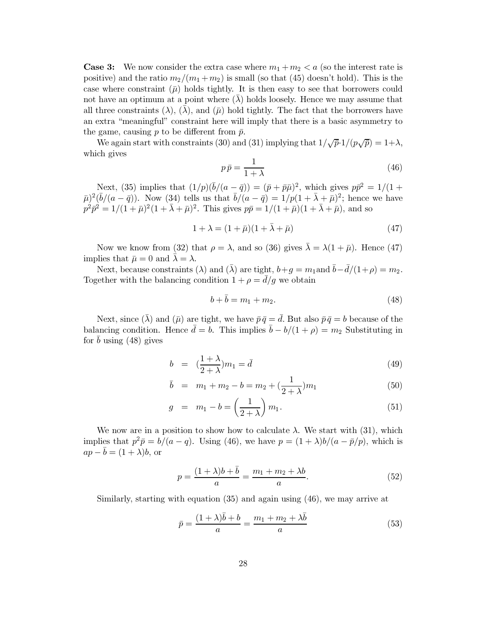**Case 3:** We now consider the extra case where  $m_1 + m_2 < a$  (so the interest rate is positive) and the ratio  $m_2/(m_1+m_2)$  is small (so that (45) doesn't hold). This is the case where constraint  $(\bar{\mu})$  holds tightly. It is then easy to see that borrowers could not have an optimum at a point where  $(\lambda)$  holds loosely. Hence we may assume that all three constraints ( $\lambda$ ), ( $\lambda$ ), and ( $\bar{\mu}$ ) hold tightly. The fact that the borrowers have an extra "meaningful" constraint here will imply that there is a basic asymmetry to the game, causing p to be different from  $\bar{p}$ .

We again start with constraints (30) and (31) implying that  $1/\sqrt{\bar{p}} \cdot 1/(p\sqrt{\bar{p}}) = 1+\lambda$ , which gives

$$
p\,\bar{p} = \frac{1}{1+\lambda} \tag{46}
$$

Next, (35) implies that  $(1/p)(\bar{b}/(a - \bar{q})) = (\bar{p} + \bar{p}\bar{\mu})^2$ , which gives  $p\bar{p}^2 = 1/(1 + \bar{\mu})^2(\bar{b}/(a - \bar{q}))$ . Now (34) tells us that  $\bar{b}/(a - \bar{q}) = 1/p(1 + \bar{\lambda} + \bar{\mu})^2$ ; hence we have  $p^2\bar{p}^2 = 1/(1 + \bar{\mu})^2(1 + \bar{\lambda} + \$ 

$$
1 + \lambda = (1 + \bar{\mu})(1 + \bar{\lambda} + \bar{\mu})\tag{47}
$$

Now we know from (32) that  $\rho = \lambda$ , and so (36) gives  $\bar{\lambda} = \lambda(1 + \bar{\mu})$ . Hence (47) implies that  $\bar{\mu} = 0$  and  $\bar{\lambda} = \lambda$ .

Next, because constraints ( $\lambda$ ) and ( $\bar{\lambda}$ ) are tight,  $b+g=m_1$  and  $\bar{b}-\bar{d}/(1+\rho)=m_2$ . Together with the balancing condition  $1 + \rho = \bar{d}/g$  we obtain

$$
b + b = m_1 + m_2. \t\t(48)
$$

Next, since  $(\bar{\lambda})$  and  $(\bar{\mu})$  are tight, we have  $\bar{p}\bar{q} = \bar{d}$ . But also  $\bar{p}\bar{q} = b$  because of the balancing condition. Hence  $\bar{d} = b$ . This implies  $\bar{b} - b/(1 + \rho) = m_2$  Substituting in for  $\bar{b}$  using (48) gives

$$
b = \left(\frac{1+\lambda}{2+\lambda}\right)m_1 = \bar{d} \tag{49}
$$

$$
\bar{b} = m_1 + m_2 - b = m_2 + \left(\frac{1}{2 + \lambda}\right)m_1 \tag{50}
$$

$$
g = m_1 - b = \left(\frac{1}{2 + \lambda}\right) m_1. \tag{51}
$$

We now are in a position to show how to calculate  $\lambda$ . We start with (31), which implies that  $p^2\bar{p} = b/(a-q)$ . Using (46), we have  $p = (1+\lambda)b/(a-\bar{p}/p)$ , which is  $ap - \overline{b} = (1 + \lambda)b$ , or

$$
p = \frac{(1+\lambda)b + \bar{b}}{a} = \frac{m_1 + m_2 + \lambda b}{a}.
$$
 (52)

Similarly, starting with equation  $(35)$  and again using  $(46)$ , we may arrive at

$$
\bar{p} = \frac{(1+\lambda)b + b}{a} = \frac{m_1 + m_2 + \lambda b}{a}
$$
\n(53)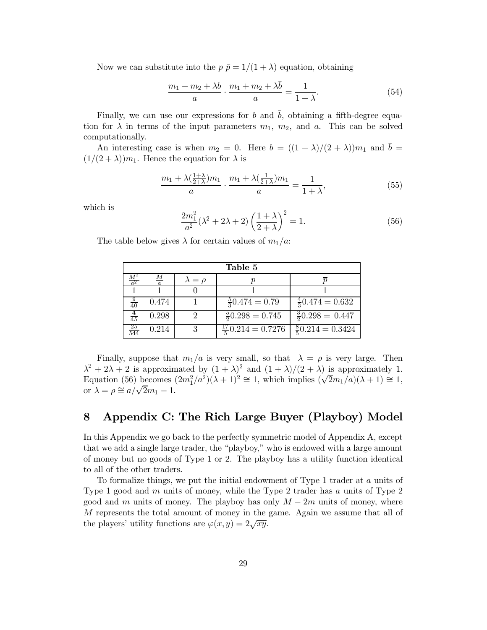Now we can substitute into the  $p \bar{p} = 1/(1 + \lambda)$  equation, obtaining

$$
\frac{m_1 + m_2 + \lambda b}{a} \cdot \frac{m_1 + m_2 + \lambda b}{a} = \frac{1}{1 + \lambda}.
$$
 (54)

Finally, we can use our expressions for b and  $\bar{b}$ , obtaining a fifth-degree equation for  $\lambda$  in terms of the input parameters  $m_1$ ,  $m_2$ , and a. This can be solved computationally.

An interesting case is when  $m_2 = 0$ . Here  $b = ((1 + \lambda)/(2 + \lambda))m_1$  and  $\overline{b} =$  $(1/(2+\lambda))m_1$ . Hence the equation for  $\lambda$  is

$$
\frac{m_1 + \lambda \left(\frac{1+\lambda}{2+\lambda}\right) m_1}{a} \cdot \frac{m_1 + \lambda \left(\frac{1}{2+\lambda}\right) m_1}{a} = \frac{1}{1+\lambda},\tag{55}
$$

which is

$$
\frac{2m_1^2}{a^2}(\lambda^2 + 2\lambda + 2)\left(\frac{1+\lambda}{2+\lambda}\right)^2 = 1.
$$
\n(56)

The table below gives  $\lambda$  for certain values of  $m_1/a$ .

| Table 5           |       |            |                              |                             |  |  |  |
|-------------------|-------|------------|------------------------------|-----------------------------|--|--|--|
| $\frac{M^2}{a^2}$ | М     | $=$ $\rho$ |                              |                             |  |  |  |
|                   |       |            |                              |                             |  |  |  |
| $rac{9}{40}$      | 0.474 |            | $\frac{5}{3}0.474 = 0.79$    | $\frac{4}{3}0.474 = 0.632$  |  |  |  |
| $\frac{4}{45}$    | 0.298 |            | $\frac{5}{2}0.298 = 0.745$   | $\frac{3}{2}0.298 = 0.447$  |  |  |  |
| $\frac{25}{544}$  | 0.214 |            | $\frac{17}{5}0.214 = 0.7276$ | $\frac{8}{5}0.214 = 0.3424$ |  |  |  |

Finally, suppose that  $m_1/a$  is very small, so that  $\lambda = \rho$  is very large. Then  $\lambda^2 + 2\lambda + 2$  is approximated by  $(1 + \lambda)^2$  and  $(1 + \lambda)/(2 + \lambda)$  is approximately 1. Equation (56) becomes  $(2m_1^2/a^2)(\lambda+1)^2 \cong 1$ , which implies  $(\sqrt{2m_1}/a)(\lambda+1) \cong 1$ , or  $\lambda = \rho \cong a/\sqrt{2}m_1 - 1$ .

### Appendix C: The Rich Large Buyer (Playboy) Model 8

In this Appendix we go back to the perfectly symmetric model of Appendix A, except that we add a single large trader, the "playboy," who is endowed with a large amount of money but no goods of Type 1 or 2. The playboy has a utility function identical to all of the other traders.

To formalize things, we put the initial endowment of Type 1 trader at  $a$  units of Type 1 good and m units of money, while the Type 2 trader has a units of Type 2 good and m units of money. The playboy has only  $M-2m$  units of money, where M represents the total amount of money in the game. Again we assume that all of the players' utility functions are  $\varphi(x,y) = 2\sqrt{xy}$ .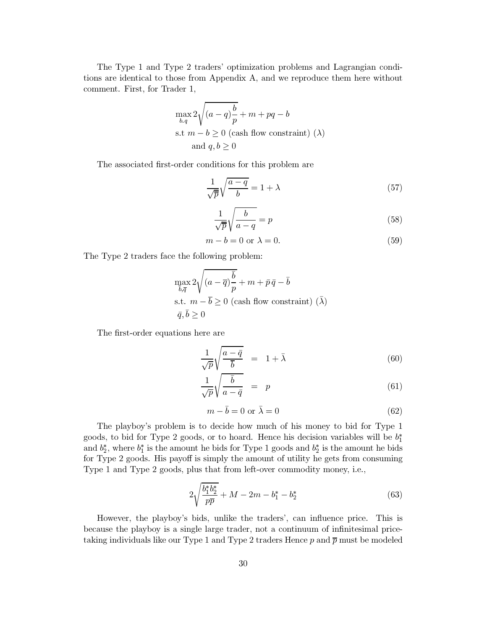The Type 1 and Type 2 traders' optimization problems and Lagrangian conditions are identical to those from Appendix A, and we reproduce them here without comment. First, for Trader 1,

$$
\max_{b,q} 2\sqrt{(a-q)\frac{b}{p}} + m + pq - b
$$
  
s.t  $m - b \ge 0$  (cash flow constraint) ( $\lambda$ )  
and  $q, b \ge 0$ 

The associated first-order conditions for this problem are

$$
\frac{1}{\sqrt{\overline{p}}} \sqrt{\frac{a-q}{b}} = 1 + \lambda \tag{57}
$$

$$
\frac{1}{\sqrt{\overline{p}}} \sqrt{\frac{b}{a-q}} = p \tag{58}
$$

$$
m - b = 0 \text{ or } \lambda = 0. \tag{59}
$$

The Type 2 traders face the following problem:

$$
\begin{aligned} &\max_{\overline{b},\overline{q}} 2\sqrt{(a - \overline{q})\frac{\overline{b}}{p}} + m + \bar{p}\,\bar{q} - \overline{b} \\ &\text{s.t.}~~ m - \overline{b} \geq 0~\text{(cash flow constraint)}~(\overline{\lambda})\\ &\ \ \bar{q},\overline{b} \geq 0 \end{aligned}
$$

The first-order equations here are

$$
\frac{1}{\sqrt{p}}\sqrt{\frac{a-\bar{q}}{\bar{b}}} = 1+\bar{\lambda}
$$
\n(60)

$$
\frac{1}{\sqrt{p}}\sqrt{\frac{\bar{b}}{a-\bar{q}}} = p \tag{61}
$$

$$
m - \bar{b} = 0 \text{ or } \bar{\lambda} = 0 \tag{62}
$$

The playboy's problem is to decide how much of his money to bid for Type 1 goods, to bid for Type 2 goods, or to hoard. Hence his decision variables will be  $b_1^*$ and  $b_2^*$ , where  $b_1^*$  is the amount he bids for Type 1 goods and  $b_2^*$  is the amount he bids for Type 2 goods. His payoff is simply the amount of utility he gets from consuming Type 1 and Type 2 goods, plus that from left-over commodity money, i.e.,

$$
2\sqrt{\frac{b_1^*b_2^*}{p\overline{p}}} + M - 2m - b_1^* - b_2^*
$$
 (63)

However, the playboy's bids, unlike the traders', can influence price. This is because the playboy is a single large trader, not a continuum of infinitesimal pricetaking individuals like our Type 1 and Type 2 traders Hence  $p$  and  $\bar{p}$  must be modeled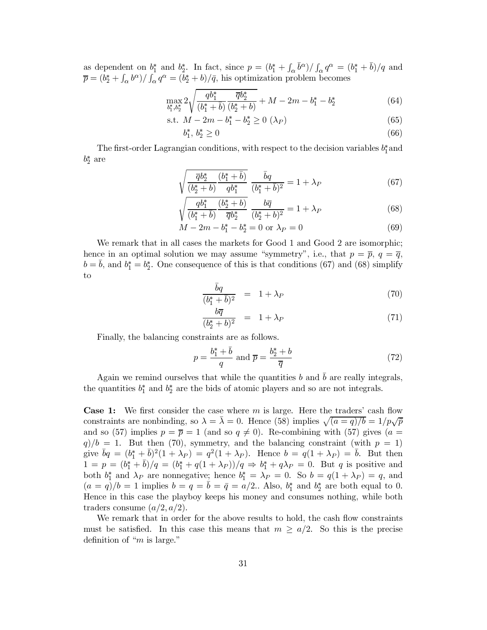as dependent on  $b_1^*$  and  $b_2^*$ . In fact, since  $p = (b_1^* + \int_{\alpha} b^{\alpha}) / \int_{\alpha} q^{\alpha} = (b_1^* + b)/q$  and  $\overline{p} = (b_2^* + \int_{\alpha} b^{\alpha}) / \int_{\alpha} q^{\alpha} = (b_2^* + b)/\overline{q}$ , his optimization problem becomes

$$
\max_{b_1^*,b_2^*} 2\sqrt{\frac{qb_1^*}{(b_1^* + \bar{b})}\frac{\overline{q}b_2^*}{(b_2^* + b)}} + M - 2m - b_1^* - b_2^* \tag{64}
$$

s.t. 
$$
M - 2m - b_1^* - b_2^* \ge 0 \ (\lambda_P)
$$
 (65)

$$
b_1^*, \, b_2^* \ge 0 \tag{66}
$$

The first-order Lagrangian conditions, with respect to the decision variables  $b_1^*$  and  $b_2^*$  are

$$
\sqrt{\frac{\overline{q}b_2^*}{(b_2^* + b)} \frac{(b_1^* + \overline{b})}{q b_1^*}} \frac{\overline{b}q}{(b_1^* + \overline{b})^2} = 1 + \lambda_P
$$
\n(67)

$$
\sqrt{\frac{q b_1^*}{(b_1^* + \bar{b})} \frac{(b_2^* + b)}{\bar{q} b_2^*}} \frac{b \bar{q}}{(b_2^* + b)^2} = 1 + \lambda_P
$$
\n(68)

$$
M - 2m - b_1^* - b_2^* = 0 \text{ or } \lambda_P = 0 \tag{69}
$$

We remark that in all cases the markets for Good 1 and Good 2 are isomorphic; hence in an optimal solution we may assume "symmetry", i.e., that  $p = \overline{p}$ ,  $q = \overline{q}$ ,  $b = \overline{b}$ , and  $b_1^* = b_2^*$ . One consequence of this is that conditions (67) and (68) simplify to

$$
\frac{bq}{(b_1^* + \bar{b})^2} = 1 + \lambda_P \tag{70}
$$

$$
\frac{b\overline{q}}{(b_2^* + b)^2} = 1 + \lambda_P \tag{71}
$$

Finally, the balancing constraints are as follows.

$$
p = \frac{b_1^* + \bar{b}}{q} \text{ and } \overline{p} = \frac{b_2^* + b}{\overline{q}}
$$
 (72)

Again we remind ourselves that while the quantities b and  $\bar{b}$  are really integrals, the quantities  $b_1^*$  and  $b_2^*$  are the bids of atomic players and so are not integrals.

**Case 1:** We first consider the case where  $m$  is large. Here the traders' cash flow constraints are nonbinding, so  $\lambda = \overline{\lambda} = 0$ . Hence (58) implies  $\sqrt{(a-q)/b} = 1/p\sqrt{\overline{p}}$ and so (57) implies  $p = \overline{p} = 1$  (and so  $q \neq 0$ ). Re-combining with (57) gives (a =  $q/b = 1$ . But then (70), symmetry, and the balancing constraint (with  $p = 1$ ) give  $\bar{b}q = (b_1^* + \bar{b})^2(1 + \lambda_P) = q^2(1 + \lambda_P)$ . Hence  $b = q(1 + \lambda_P) = \bar{b}$ . But then  $1 = p = (b_1^* + \bar{b})/q = (b_1^* + q(1 + \lambda_P))/q \Rightarrow b_1^* + q\lambda_P = 0$ . But q is positive and both  $b_1^*$  and  $\lambda_P$  are nonnegative; hence  $b_1^* = \lambda_P = 0$ . So  $b = q(1 + \lambda_P) = q$ , and  $(a = q)/b = 1$  implies  $b = q = \overline{b} = \overline{q} = a/2$ . Also,  $b_1^*$  and  $b_2^*$  are both equal to 0. Hence in this case the playboy keeps his money and consumes nothing, while both traders consume  $(a/2, a/2)$ .

We remark that in order for the above results to hold, the cash flow constraints must be satisfied. In this case this means that  $m \ge a/2$ . So this is the precise definition of " $m$  is large."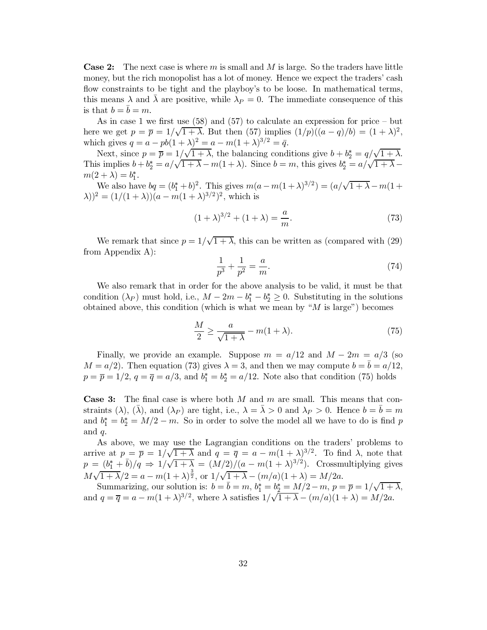**Case 2:** The next case is where m is small and M is large. So the traders have little money, but the rich monopolist has a lot of money. Hence we expect the traders' cash flow constraints to be tight and the playboy's to be loose. In mathematical terms, this means  $\lambda$  and  $\lambda$  are positive, while  $\lambda_P = 0$ . The immediate consequence of this is that  $b = \overline{b} = m$ .

As in case 1 we first use  $(58)$  and  $(57)$  to calculate an expression for price – but here we get  $p = \overline{p} = 1/\sqrt{1 + \lambda}$ . But then (57) implies  $(1/p)((a - q)/b) = (1 + \lambda)^2$ . which gives  $q = a - pb(1 + \lambda)^2 = a - m(1 + \lambda)^{3/2} = \bar{q}$ .

Next, since  $p = \overline{p} = 1/\sqrt{1 + \lambda}$ , the balancing conditions give  $b + b_2^* = q/\sqrt{1 + \lambda}$ .<br>This implies  $b + b_2^* = a/\sqrt{1 + \lambda} - m(1 + \lambda)$ . Since  $b = m$ , this gives  $b_2^* = a/\sqrt{1 + \lambda} - m(1 + \lambda)$ .  $m(2+\lambda) = b_1^*$ .

We also have  $bq = (b_1^* + b)^2$ . This gives  $m(a - m(1 + \lambda)^{3/2}) = (a/\sqrt{1 + \lambda} - m(1 +$  $(\lambda)^2 = (1/(1+\lambda))(a - m(1+\lambda)^{3/2})^2$ , which is

$$
(1 + \lambda)^{3/2} + (1 + \lambda) = \frac{a}{m}.
$$
 (73)

We remark that since  $p = 1/\sqrt{1 + \lambda}$ , this can be written as (compared with (29) from Appendix  $A$ :

$$
\frac{1}{p^3} + \frac{1}{p^2} = \frac{a}{m}.\tag{74}
$$

We also remark that in order for the above analysis to be valid, it must be that condition  $(\lambda_P)$  must hold, i.e.,  $M - 2m - b_1^* - b_2^* \geq 0$ . Substituting in the solutions obtained above, this condition (which is what we mean by " $M$  is large") becomes

$$
\frac{M}{2} \ge \frac{a}{\sqrt{1+\lambda}} - m(1+\lambda). \tag{75}
$$

Finally, we provide an example. Suppose  $m = a/12$  and  $M - 2m = a/3$  (so  $M = a/2$ . Then equation (73) gives  $\lambda = 3$ , and then we may compute  $b = b = a/12$ .  $p = \overline{p} = 1/2$ ,  $q = \overline{q} = a/3$ , and  $b_1^* = b_2^* = a/12$ . Note also that condition (75) holds

**Case 3:** The final case is where both  $M$  and  $m$  are small. This means that constraints  $(\lambda)$ ,  $(\overline{\lambda})$ , and  $(\lambda_P)$  are tight, i.e.,  $\lambda = \overline{\lambda} > 0$  and  $\lambda_P > 0$ . Hence  $b = \overline{b} = m$ and  $b_1^* = b_2^* = M/2 - m$ . So in order to solve the model all we have to do is find p and  $q$ .

As above, we may use the Lagrangian conditions on the traders' problems to arrive at  $p = \bar{p} = 1/\sqrt{1 + \lambda}$  and  $q = \bar{q} = a - m(1 + \lambda)^{3/2}$ . To find  $\lambda$ , note that  $p = (b_1^* + \bar{b})/q \Rightarrow 1/\sqrt{1 + \lambda} = (M/2)/(a - m(1 + \lambda)^{3/2})$ . Crossmultiplying gives  $M\sqrt{1+\lambda}/2 = a - m(1+\lambda)^{\frac{3}{2}}$ , or  $1/\sqrt{1+\lambda} - (m/a)(1+\lambda) = M/2a$ .

Summarizing, our solution is:  $b = \overline{b} = m$ ,  $b_1^* = b_2^* = M/2 - m$ ,  $p = \overline{p} = 1/\sqrt{1 + \lambda}$ , and  $q = \overline{q} = a - m(1 + \lambda)^{3/2}$ , where  $\lambda$  satisfies  $1/\sqrt{1 + \lambda} - (m/a)(1 + \lambda) = M/2a$ .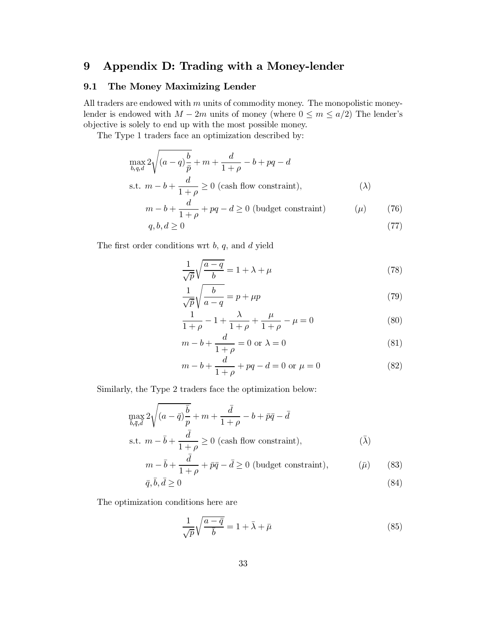### Appendix D: Trading with a Money-lender  $9$

#### 9.1 The Money Maximizing Lender

All traders are endowed with  $m$  units of commodity money. The monopolistic moneylender is endowed with  $M - 2m$  units of money (where  $0 \le m \le a/2$ ) The lender's objective is solely to end up with the most possible money.

The Type 1 traders face an optimization described by:

$$
\max_{b,q,d} 2\sqrt{(a-q)\frac{b}{\bar{p}}} + m + \frac{d}{1+\rho} - b + pq - d
$$
\n
$$
\text{s.t. } m - b + \frac{d}{1+\rho} \ge 0 \text{ (cash flow constraint)}, \tag{\lambda}
$$
\n
$$
m - b + \frac{d}{1+\rho} + pq - d > 0 \text{ (budget constraint)} \tag{76}
$$

$$
m - b + \frac{a}{1 + \rho} + pq - d \ge 0 \text{ (budget constraint)} \qquad (\mu) \qquad (76)
$$

$$
q, b, d \ge 0 \tag{77}
$$

The first order conditions wrt  $b, q$ , and  $d$  yield

$$
\frac{1}{\sqrt{\bar{p}}} \sqrt{\frac{a-q}{b}} = 1 + \lambda + \mu \tag{78}
$$

$$
\frac{1}{\sqrt{p}}\sqrt{\frac{b}{a-q}} = p + \mu p\tag{79}
$$

$$
\frac{1}{1+\rho} - 1 + \frac{\lambda}{1+\rho} + \frac{\mu}{1+\rho} - \mu = 0
$$
 (80)

$$
m - b + \frac{d}{1 + \rho} = 0 \text{ or } \lambda = 0 \tag{81}
$$

$$
m - b + \frac{d}{1 + \rho} + pq - d = 0 \text{ or } \mu = 0 \tag{82}
$$

Similarly, the Type 2 traders face the optimization below:

$$
\max_{\bar{b}, \bar{q}, \bar{d}} 2\sqrt{(a - \bar{q})\frac{\bar{b}}{p}} + m + \frac{\bar{d}}{1 + \rho} - b + \bar{p}\bar{q} - \bar{d}
$$
\ns.t.  $m - \bar{b} + \frac{\bar{d}}{1 + \rho} \ge 0$  (cash flow constraint),\n
$$
\bar{d} = \frac{\bar{d}}{1 + \rho} \ge 0
$$

$$
m - \bar{b} + \frac{d}{1+\rho} + \bar{p}\bar{q} - \bar{d} \ge 0 \text{ (budget constraint)}, \qquad (\bar{\mu}) \qquad (83)
$$

$$
\bar{q}, b, d \ge 0 \tag{84}
$$

The optimization conditions here are

$$
\frac{1}{\sqrt{p}}\sqrt{\frac{a-\bar{q}}{\bar{b}}}=1+\bar{\lambda}+\bar{\mu}
$$
\n(85)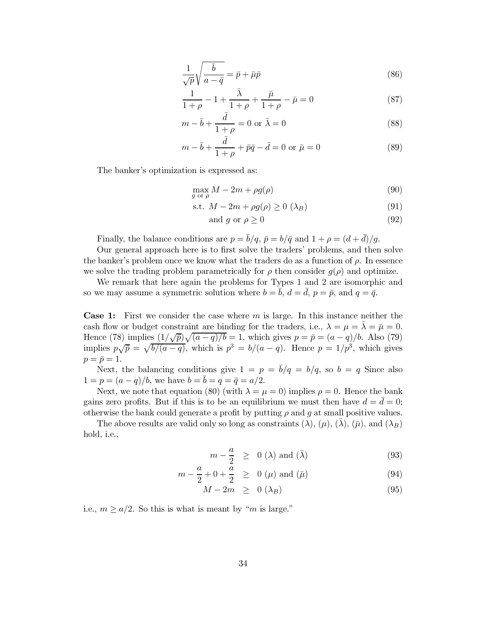$$
\frac{1}{\sqrt{p}}\sqrt{\frac{\bar{b}}{a-\bar{q}}} = \bar{p} + \bar{\mu}\bar{p}
$$
\n(86)

$$
\frac{1}{1+\rho} - 1 + \frac{\bar{\lambda}}{1+\rho} + \frac{\bar{\mu}}{1+\rho} - \bar{\mu} = 0
$$
 (87)

$$
m - \bar{b} + \frac{d}{1 + \rho} = 0 \text{ or } \bar{\lambda} = 0 \tag{88}
$$

$$
m - \bar{b} + \frac{\bar{d}}{1 + \rho} + \bar{p}\bar{q} - \bar{d} = 0 \text{ or } \bar{\mu} = 0
$$
 (89)

The banker's optimization is expressed as:

$$
\max_{g \text{ or } \rho} M - 2m + \rho g(\rho) \tag{90}
$$

$$
s.t. M - 2m + \rho g(\rho) \ge 0 \ (\lambda_B)
$$
\n<sup>(91)</sup>

and 
$$
g
$$
 or  $\rho \ge 0$  (92)

Finally, the balance conditions are  $p = \bar{b}/q$ ,  $\bar{p} = b/\bar{q}$  and  $1 + \rho = (d + \bar{d})/g$ .

Our general approach here is to first solve the traders' problems, and then solve the banker's problem once we know what the traders do as a function of  $\rho$ . In essence we solve the trading problem parametrically for  $\rho$  then consider  $g(\rho)$  and optimize.

We remark that here again the problems for Types 1 and 2 are isomorphic and so we may assume a symmetric solution where  $b = \bar{b}$ ,  $d = \bar{d}$ ,  $p = \bar{p}$ , and  $q = \bar{q}$ .

**Case 1:** First we consider the case where m is large. In this instance neither the cash flow or budget constraint are binding for the traders, i.e.,  $\lambda = \mu = \overline{\lambda} = \overline{\mu} = 0$ . Hence (78) implies  $\frac{(1/\sqrt{\bar{p}})}{a-q}{\bar{b}} = 1$ , which gives  $p = \bar{p} = (a-q)/b$ . Also (79) implies  $p\sqrt{\bar{p}} = \sqrt{b/(a-q)}$ , which is  $p^3 = b/(a-q)$ . Hence  $p = 1/p^3$ , which gives  $p=\bar{p}=1.$ 

Next, the balancing conditions give  $1 = p = \bar{b}/q = b/q$ , so  $b = q$  Since also  $1 = p = (a - q)/b$ , we have  $b = \bar{b} = q = \bar{q} = a/2$ .

Next, we note that equation (80) (with  $\lambda = \mu = 0$ ) implies  $\rho = 0$ . Hence the bank gains zero profits. But if this is to be an equilibrium we must then have  $d = \bar{d} = 0$ ; otherwise the bank could generate a profit by putting  $\rho$  and  $q$  at small positive values.

The above results are valid only so long as constraints ( $\lambda$ ), ( $\mu$ ), ( $\lambda$ ), ( $\bar{\mu}$ ), and ( $\lambda_B$ ) hold, i.e.,

$$
m - \frac{a}{2} \geq 0 \text{ } (\lambda) \text{ and } (\bar{\lambda}) \tag{93}
$$

$$
m - \frac{a}{2} + 0 + \frac{a}{2} \ge 0 \ (\mu)
$$
 and  $(\bar{\mu})$  (94)

$$
M - 2m \geq 0 \ (\lambda_B) \tag{95}
$$

i.e.,  $m \ge a/2$ . So this is what is meant by "m is large."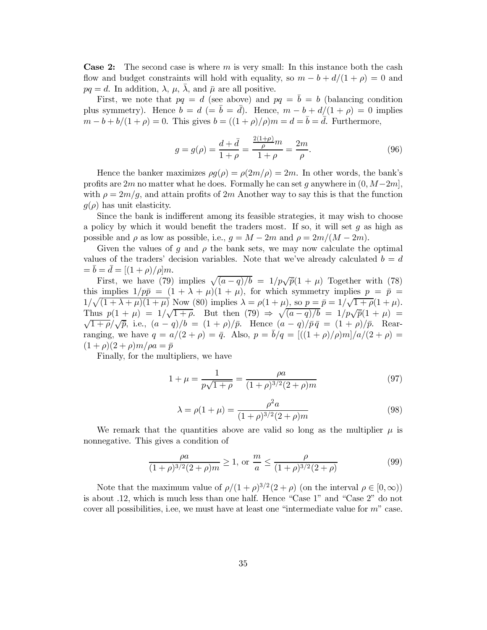**Case 2:** The second case is where  $m$  is very small: In this instance both the cash flow and budget constraints will hold with equality, so  $m - b + d/(1 + \rho) = 0$  and  $pq = d$ . In addition,  $\lambda$ ,  $\mu$ ,  $\bar{\lambda}$ , and  $\bar{\mu}$  are all positive.

First, we note that  $pq = d$  (see above) and  $pq = \bar{b} = b$  (balancing condition plus symmetry). Hence  $b = d$  (=  $\bar{b} = \bar{d}$ ). Hence,  $m - b + d/(1 + \rho) = 0$  implies  $m-b+b/(1+\rho)=0$ . This gives  $b=((1+\rho)/\rho)m=d=\overline{b}=\overline{d}$ . Furthermore,

$$
g = g(\rho) = \frac{d + \bar{d}}{1 + \rho} = \frac{\frac{2(1+\rho)}{\rho}m}{1 + \rho} = \frac{2m}{\rho}.
$$
 (96)

Hence the banker maximizes  $\rho g(\rho) = \rho(2m/\rho) = 2m$ . In other words, the bank's profits are 2m no matter what he does. Formally he can set g anywhere in  $(0, M-2m]$ , with  $\rho = 2m/g$ , and attain profits of 2m Another way to say this is that the function  $q(\rho)$  has unit elasticity.

Since the bank is indifferent among its feasible strategies, it may wish to choose a policy by which it would benefit the traders most. If so, it will set  $g$  as high as possible and  $\rho$  as low as possible, i.e.,  $g = M - 2m$  and  $\rho = 2m/(M - 2m)$ .

Given the values of g and  $\rho$  the bank sets, we may now calculate the optimal values of the traders' decision variables. Note that we've already calculated  $b = d$  $=\bar{b}=\bar{d}=[(1+\rho)/\rho]m.$ 

First, we have (79) implies  $\sqrt{(a-q)/b} = 1/p\sqrt{\bar{p}}(1+\mu)$  Together with (78) this implies  $1/p\bar{p} = (1 + \lambda + \mu)(1 + \mu)$ , for which symmetry implies  $p = \bar{p}$  $1/\sqrt{(1+\lambda+\mu)(1+\mu)}$  Now (80) implies  $\lambda = \rho(1+\mu)$ , so  $p = \bar{p} = 1/\sqrt{1+\rho}(1+\mu)$ . Thus  $p(1 + \mu) = 1/\sqrt{1 + \rho}$ . But then  $(79) \Rightarrow \sqrt{(a - q)/b} = 1/p\sqrt{\overline{p}}(1 + \mu)$  $\sqrt{1+\rho}/\sqrt{\bar{p}}$ , i.e.,  $(a-q)/b = (1+\rho)/\bar{p}$ . Hence  $(a-q)/\bar{p}\bar{q} = (1+\rho)/\bar{p}$ . Rearranging, we have  $q = a/(2 + \rho) = \bar{q}$ . Also,  $p = \bar{b}/q = [((1 + \rho)/\rho)m]/a/(2 + \rho) =$  $(1+\rho)(2+\rho)m/\rho a = \bar{p}$ 

Finally, for the multipliers, we have

$$
1 + \mu = \frac{1}{p\sqrt{1+\rho}} = \frac{\rho a}{(1+\rho)^{3/2}(2+\rho)m}
$$
(97)

$$
\lambda = \rho(1 + \mu) = \frac{\rho^2 a}{(1 + \rho)^{3/2} (2 + \rho)m}
$$
\n(98)

We remark that the quantities above are valid so long as the multiplier  $\mu$  is nonnegative. This gives a condition of

$$
\frac{\rho a}{(1+\rho)^{3/2}(2+\rho)m} \ge 1, \text{ or } \frac{m}{a} \le \frac{\rho}{(1+\rho)^{3/2}(2+\rho)}
$$
(99)

Note that the maximum value of  $\rho/(1+\rho)^{3/2}(2+\rho)$  (on the interval  $\rho \in [0,\infty)$ ) is about .12, which is much less than one half. Hence "Case 1" and "Case 2" do not cover all possibilities, i.e., we must have at least one "intermediate value for  $m$ " case.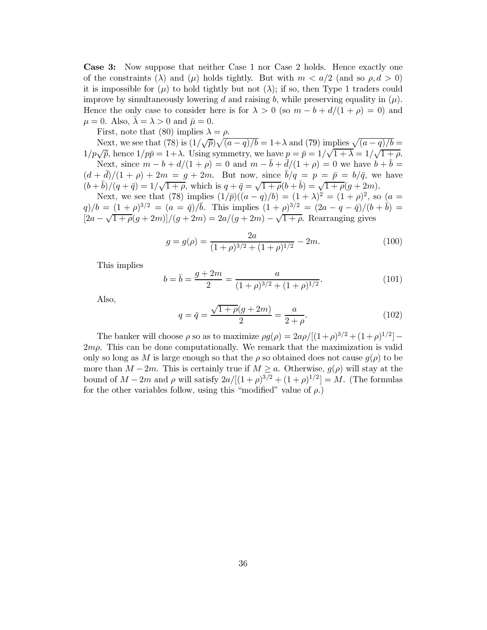**Case 3:** Now suppose that neither Case 1 nor Case 2 holds. Hence exactly one of the constraints ( $\lambda$ ) and ( $\mu$ ) holds tightly. But with  $m < a/2$  (and so  $\rho, d > 0$ ) it is impossible for  $(\mu)$  to hold tightly but not  $(\lambda)$ ; if so, then Type 1 traders could improve by simultaneously lowering d and raising b, while preserving equality in  $(\mu)$ . Hence the only case to consider here is for  $\lambda > 0$  (so  $m - b + d/(1 + \rho) = 0$ ) and  $\mu = 0$ . Also,  $\lambda = \lambda > 0$  and  $\bar{\mu} = 0$ .

First, note that (80) implies  $\lambda = \rho$ .

Next, we see that (78) is  $(1/\sqrt{\bar{p}})\sqrt{(a-q)/b} = 1+\lambda$  and (79) implies  $\sqrt{(a-q)/b} =$  $1/p\sqrt{\bar{p}}$ , hence  $1/p\bar{p} = 1+\lambda$ . Using symmetry, we have  $p = \bar{p} = 1/\sqrt{1+\lambda} = 1/\sqrt{1+\rho}$ . Next, since  $m-b+d/(1+\rho) = 0$  and  $m-\overline{b}+\overline{d}/(1+\rho) = 0$  we have  $b+\overline{b} =$  $(d+\bar{d})/(1+\rho) + 2m = g + 2m$ . But now, since  $\bar{b}/q = p = \bar{p} = b/\bar{q}$ , we have  $(b+\bar{b})/(q+\bar{q}) = 1/\sqrt{1+\rho}$ , which is  $q+\bar{q} = \sqrt{1+\rho(b+\bar{b})} = \sqrt{1+\rho(g+2m)}$ .

Next, we see that (78) implies  $(1/\bar{p})((a-q)/b) = (1+\lambda)^2 = (1+\rho)^2$ , so  $(a =$  $q)/b = (1+\rho)^{3/2} = (a - \bar{q})/\bar{b}$ . This implies  $(1+\rho)^{3/2} = (2a - \bar{q} - \bar{q})/(b + \bar{b}) =$  $\left[\frac{2a-\sqrt{1+\rho}(g+2m)}{(q+2m)}\right](g+2m) = 2a/(g+2m) - \sqrt{1+\rho}$ . Rearranging gives

$$
g = g(\rho) = \frac{2a}{(1+\rho)^{3/2} + (1+\rho)^{1/2}} - 2m.
$$
 (100)

This implies

$$
b = \bar{b} = \frac{g + 2m}{2} = \frac{a}{(1 + \rho)^{3/2} + (1 + \rho)^{1/2}}.
$$
\n(101)

Also,

$$
q = \bar{q} = \frac{\sqrt{1 + \rho}(g + 2m)}{2} = \frac{a}{2 + \rho}.
$$
\n(102)

The banker will choose  $\rho$  so as to maximize  $\rho g(\rho) = 2a\rho/[(1+\rho)^{3/2}+(1+\rho)^{1/2}] 2m\rho$ . This can be done computationally. We remark that the maximization is valid only so long as M is large enough so that the  $\rho$  so obtained does not cause  $g(\rho)$  to be more than  $M-2m$ . This is certainly true if  $M \ge a$ . Otherwise,  $g(\rho)$  will stay at the bound of  $M-2m$  and  $\rho$  will satisfy  $2a/[(1+\rho)^{3/2}+(1+\rho)^{1/2}]=M$ . (The formulas for the other variables follow, using this "modified" value of  $\rho$ .)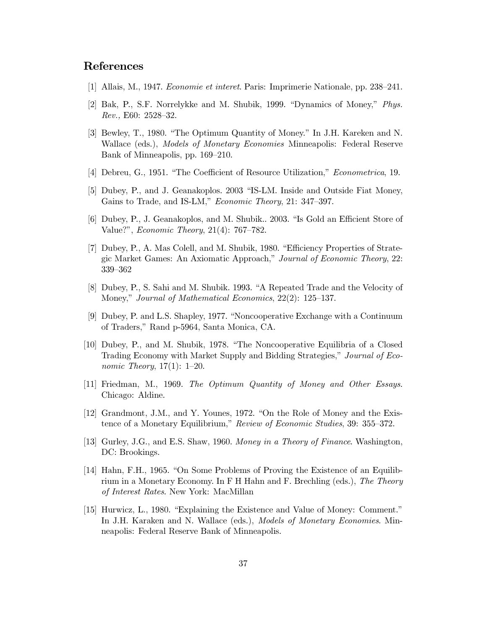# **References**

- [1] Allais, M., 1947. *Economie et interet.* Paris: Imprimerie Nationale, pp. 238–241.
- [2] Bak, P., S.F. Norrelykke and M. Shubik, 1999. "Dynamics of Money," Phys. Rev., E60: 2528-32.
- [3] Bewley, T., 1980. "The Optimum Quantity of Money." In J.H. Kareken and N. Wallace (eds.), Models of Monetary Economies Minneapolis: Federal Reserve Bank of Minneapolis, pp. 169–210.
- [4] Debreu, G., 1951. "The Coefficient of Resource Utilization," *Econometrica*, 19.
- [5] Dubey, P., and J. Geanakoplos. 2003 "IS-LM. Inside and Outside Fiat Money, Gains to Trade, and IS-LM," Economic Theory, 21: 347-397.
- [6] Dubey, P., J. Geanakoplos, and M. Shubik.. 2003. "Is Gold an Efficient Store of Value?", *Economic Theory*, 21(4): 767-782.
- [7] Dubey, P., A. Mas Colell, and M. Shubik, 1980. "Efficiency Properties of Strategic Market Games: An Axiomatic Approach," Journal of Economic Theory, 22:  $339 - 362$
- [8] Dubey, P., S. Sahi and M. Shubik. 1993. "A Repeated Trade and the Velocity of Money," Journal of Mathematical Economics, 22(2): 125–137.
- [9] Dubey, P. and L.S. Shapley, 1977. "Noncooperative Exchange with a Continuum of Traders," Rand p-5964, Santa Monica, CA.
- [10] Dubey, P., and M. Shubik, 1978. "The Noncooperative Equilibria of a Closed Trading Economy with Market Supply and Bidding Strategies," Journal of Eco*nomic Theory*,  $17(1)$ : 1-20.
- [11] Friedman, M., 1969. The Optimum Quantity of Money and Other Essays. Chicago: Aldine.
- [12] Grandmont, J.M., and Y. Younes, 1972. "On the Role of Money and the Existence of a Monetary Equilibrium," Review of Economic Studies, 39: 355-372.
- [13] Gurley, J.G., and E.S. Shaw, 1960. Money in a Theory of Finance. Washington, DC: Brookings.
- [14] Hahn, F.H., 1965. "On Some Problems of Proving the Existence of an Equilibrium in a Monetary Economy. In F H Hahn and F. Brechling (eds.), The Theory  $of\ Interest\ Rates.$  New York: MacMillan
- [15] Hurwicz, L., 1980. "Explaining the Existence and Value of Money: Comment." In J.H. Karaken and N. Wallace (eds.), *Models of Monetary Economies*. Minneapolis: Federal Reserve Bank of Minneapolis.